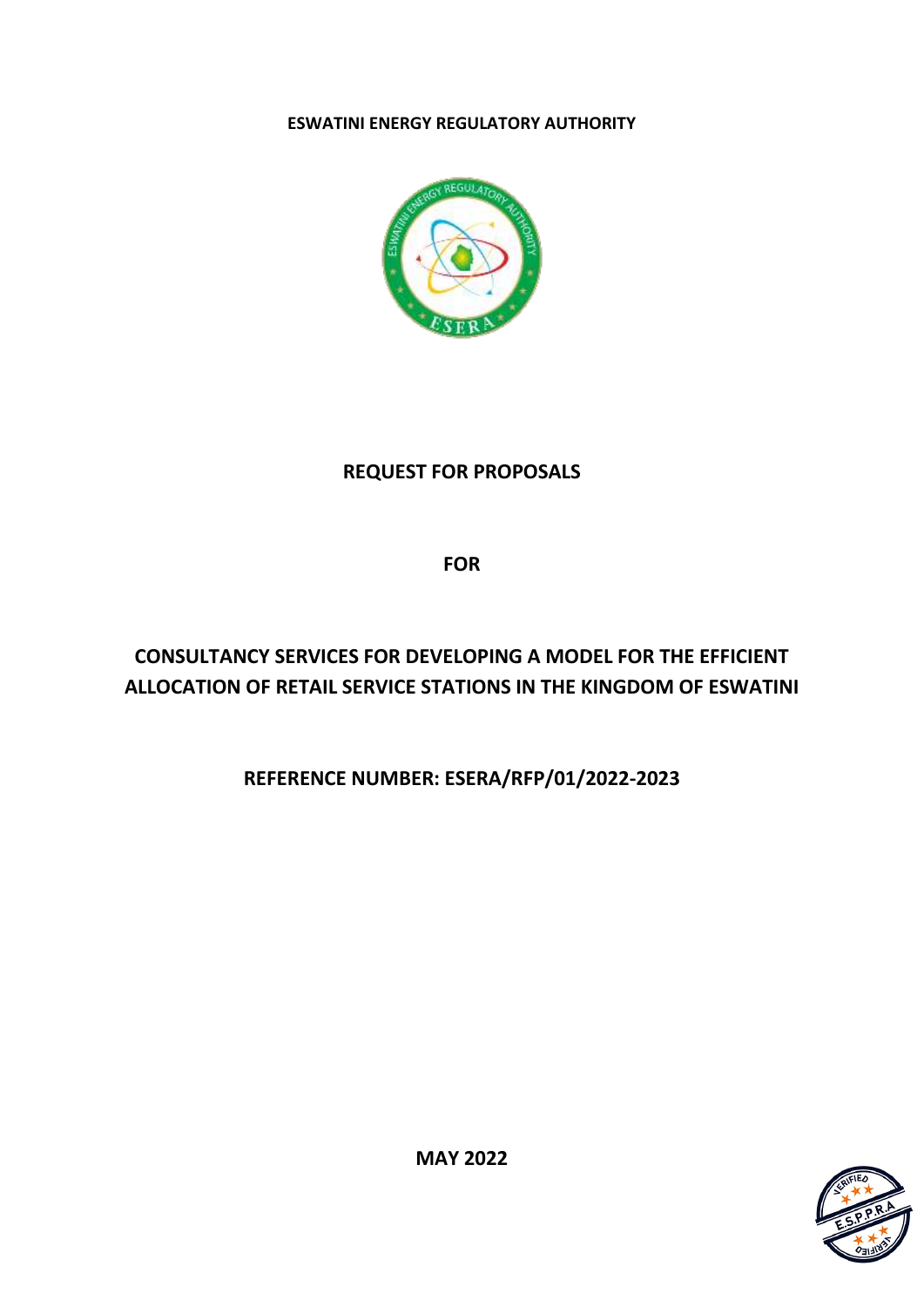## **ESWATINI ENERGY REGULATORY AUTHORITY**



## **REQUEST FOR PROPOSALS**

**FOR**

# **CONSULTANCY SERVICES FOR DEVELOPING A MODEL FOR THE EFFICIENT ALLOCATION OF RETAIL SERVICE STATIONS IN THE KINGDOM OF ESWATINI**

## **REFERENCE NUMBER: ESERA/RFP/01/2022-2023**



**MAY 2022**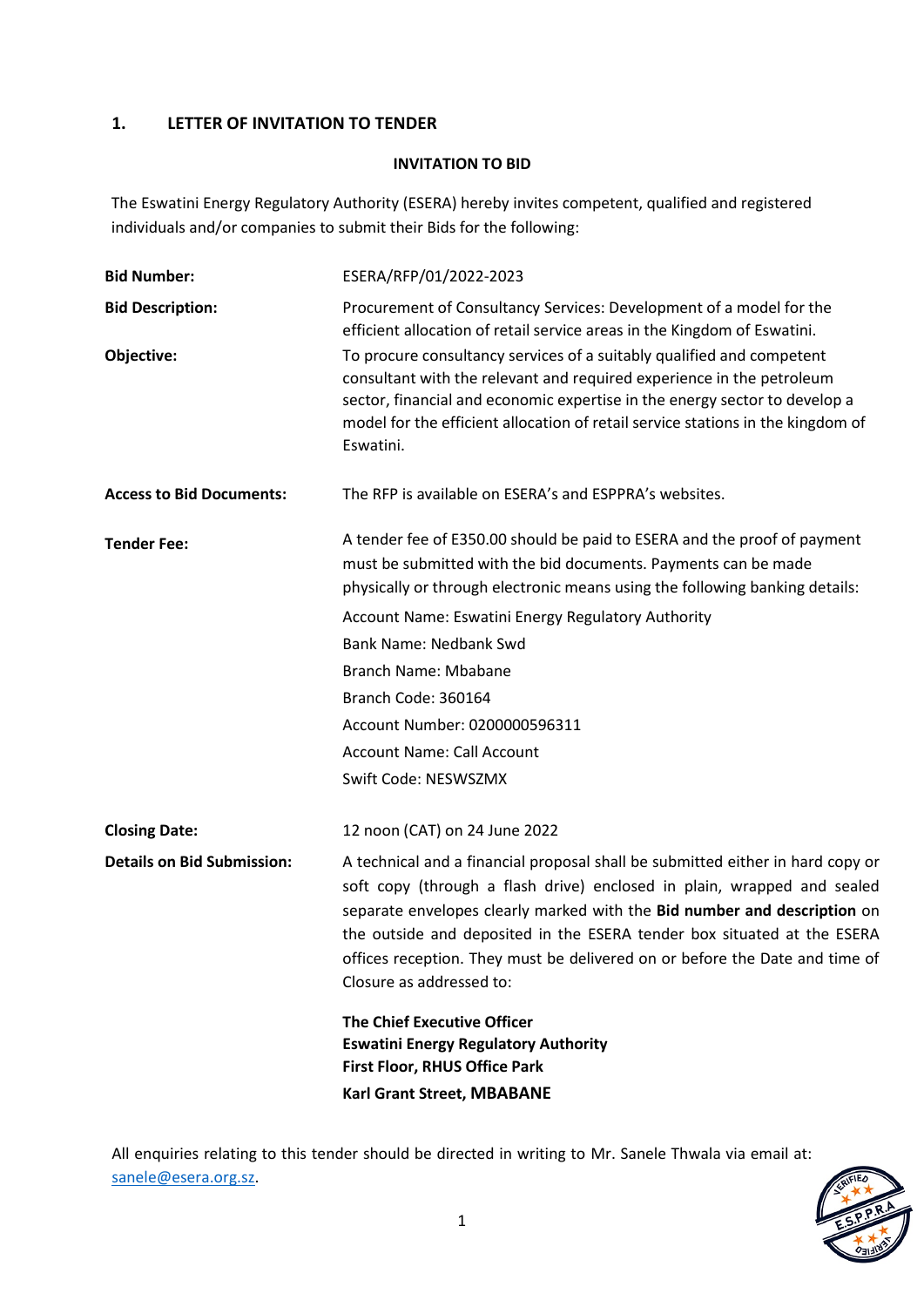## **1. LETTER OF INVITATION TO TENDER**

## **INVITATION TO BID**

The Eswatini Energy Regulatory Authority (ESERA) hereby invites competent, qualified and registered individuals and/or companies to submit their Bids for the following:

| <b>Bid Number:</b>                | ESERA/RFP/01/2022-2023                                                                                                                                                                                                                                                                                                                                                                                                      |
|-----------------------------------|-----------------------------------------------------------------------------------------------------------------------------------------------------------------------------------------------------------------------------------------------------------------------------------------------------------------------------------------------------------------------------------------------------------------------------|
| <b>Bid Description:</b>           | Procurement of Consultancy Services: Development of a model for the<br>efficient allocation of retail service areas in the Kingdom of Eswatini.                                                                                                                                                                                                                                                                             |
| Objective:                        | To procure consultancy services of a suitably qualified and competent<br>consultant with the relevant and required experience in the petroleum<br>sector, financial and economic expertise in the energy sector to develop a<br>model for the efficient allocation of retail service stations in the kingdom of<br>Eswatini.                                                                                                |
| <b>Access to Bid Documents:</b>   | The RFP is available on ESERA's and ESPPRA's websites.                                                                                                                                                                                                                                                                                                                                                                      |
| <b>Tender Fee:</b>                | A tender fee of E350.00 should be paid to ESERA and the proof of payment<br>must be submitted with the bid documents. Payments can be made<br>physically or through electronic means using the following banking details:                                                                                                                                                                                                   |
|                                   | Account Name: Eswatini Energy Regulatory Authority                                                                                                                                                                                                                                                                                                                                                                          |
|                                   | <b>Bank Name: Nedbank Swd</b>                                                                                                                                                                                                                                                                                                                                                                                               |
|                                   | Branch Name: Mbabane                                                                                                                                                                                                                                                                                                                                                                                                        |
|                                   | Branch Code: 360164                                                                                                                                                                                                                                                                                                                                                                                                         |
|                                   | Account Number: 0200000596311                                                                                                                                                                                                                                                                                                                                                                                               |
|                                   | <b>Account Name: Call Account</b>                                                                                                                                                                                                                                                                                                                                                                                           |
|                                   | Swift Code: NESWSZMX                                                                                                                                                                                                                                                                                                                                                                                                        |
| <b>Closing Date:</b>              | 12 noon (CAT) on 24 June 2022                                                                                                                                                                                                                                                                                                                                                                                               |
| <b>Details on Bid Submission:</b> | A technical and a financial proposal shall be submitted either in hard copy or<br>soft copy (through a flash drive) enclosed in plain, wrapped and sealed<br>separate envelopes clearly marked with the Bid number and description on<br>the outside and deposited in the ESERA tender box situated at the ESERA<br>offices reception. They must be delivered on or before the Date and time of<br>Closure as addressed to: |
|                                   | <b>The Chief Executive Officer</b><br><b>Eswatini Energy Regulatory Authority</b><br><b>First Floor, RHUS Office Park</b>                                                                                                                                                                                                                                                                                                   |
|                                   | Karl Grant Street, MBABANE                                                                                                                                                                                                                                                                                                                                                                                                  |

All enquiries relating to this tender should be directed in writing to Mr. Sanele Thwala via email at: [sanele@esera.org.sz.](mailto:magagulas@esera.org.sz)

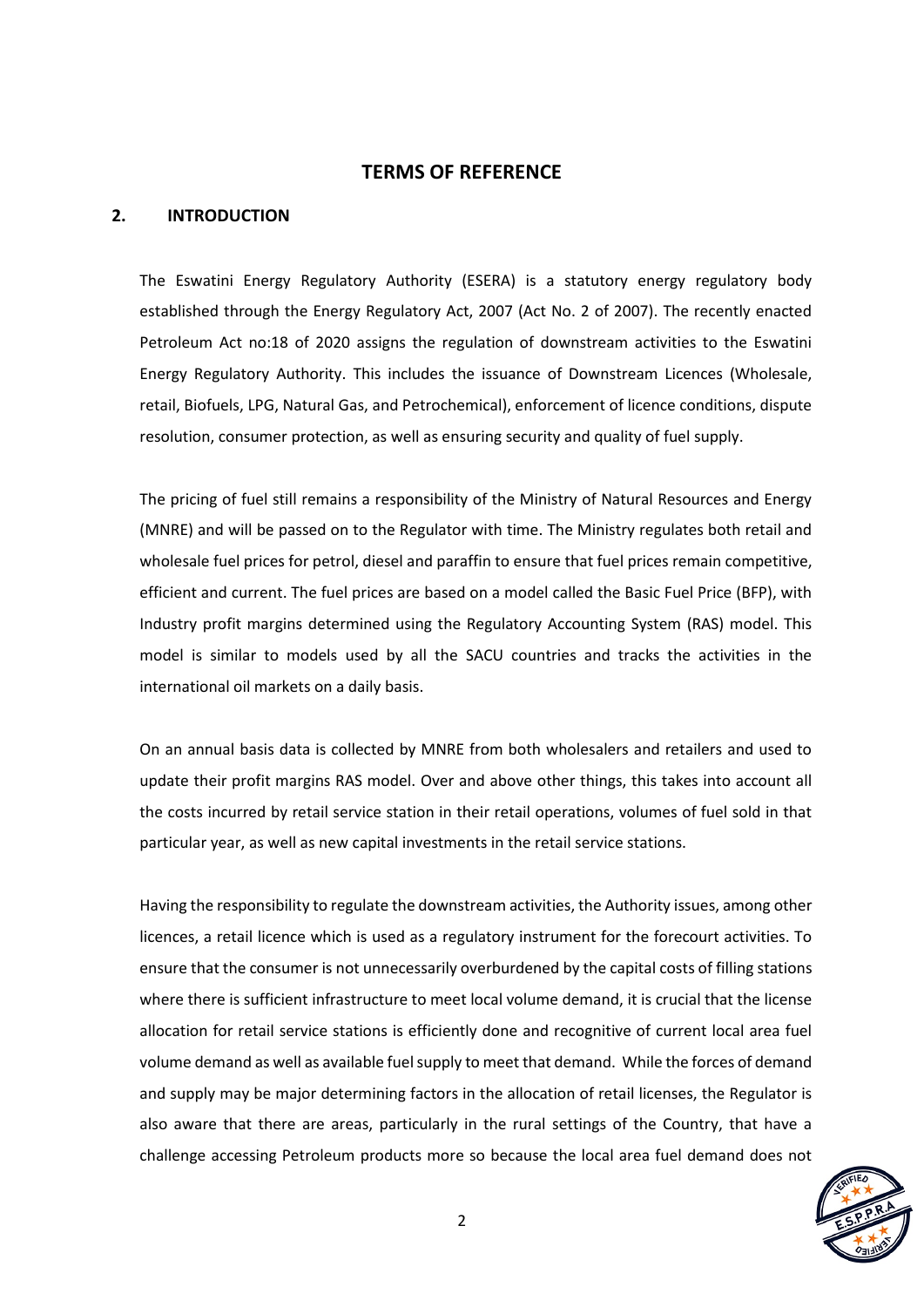#### **TERMS OF REFERENCE**

#### **2. INTRODUCTION**

The Eswatini Energy Regulatory Authority (ESERA) is a statutory energy regulatory body established through the Energy Regulatory Act, 2007 (Act No. 2 of 2007). The recently enacted Petroleum Act no:18 of 2020 assigns the regulation of downstream activities to the Eswatini Energy Regulatory Authority. This includes the issuance of Downstream Licences (Wholesale, retail, Biofuels, LPG, Natural Gas, and Petrochemical), enforcement of licence conditions, dispute resolution, consumer protection, as well as ensuring security and quality of fuel supply.

The pricing of fuel still remains a responsibility of the Ministry of Natural Resources and Energy (MNRE) and will be passed on to the Regulator with time. The Ministry regulates both retail and wholesale fuel prices for petrol, diesel and paraffin to ensure that fuel prices remain competitive, efficient and current. The fuel prices are based on a model called the Basic Fuel Price (BFP), with Industry profit margins determined using the Regulatory Accounting System (RAS) model. This model is similar to models used by all the SACU countries and tracks the activities in the international oil markets on a daily basis.

On an annual basis data is collected by MNRE from both wholesalers and retailers and used to update their profit margins RAS model. Over and above other things, this takes into account all the costs incurred by retail service station in their retail operations, volumes of fuel sold in that particular year, as well as new capital investments in the retail service stations.

Having the responsibility to regulate the downstream activities, the Authority issues, among other licences, a retail licence which is used as a regulatory instrument for the forecourt activities. To ensure that the consumer is not unnecessarily overburdened by the capital costs of filling stations where there is sufficient infrastructure to meet local volume demand, it is crucial that the license allocation for retail service stations is efficiently done and recognitive of current local area fuel volume demand as well as available fuel supply to meet that demand. While the forces of demand and supply may be major determining factors in the allocation of retail licenses, the Regulator is also aware that there are areas, particularly in the rural settings of the Country, that have a challenge accessing Petroleum products more so because the local area fuel demand does not

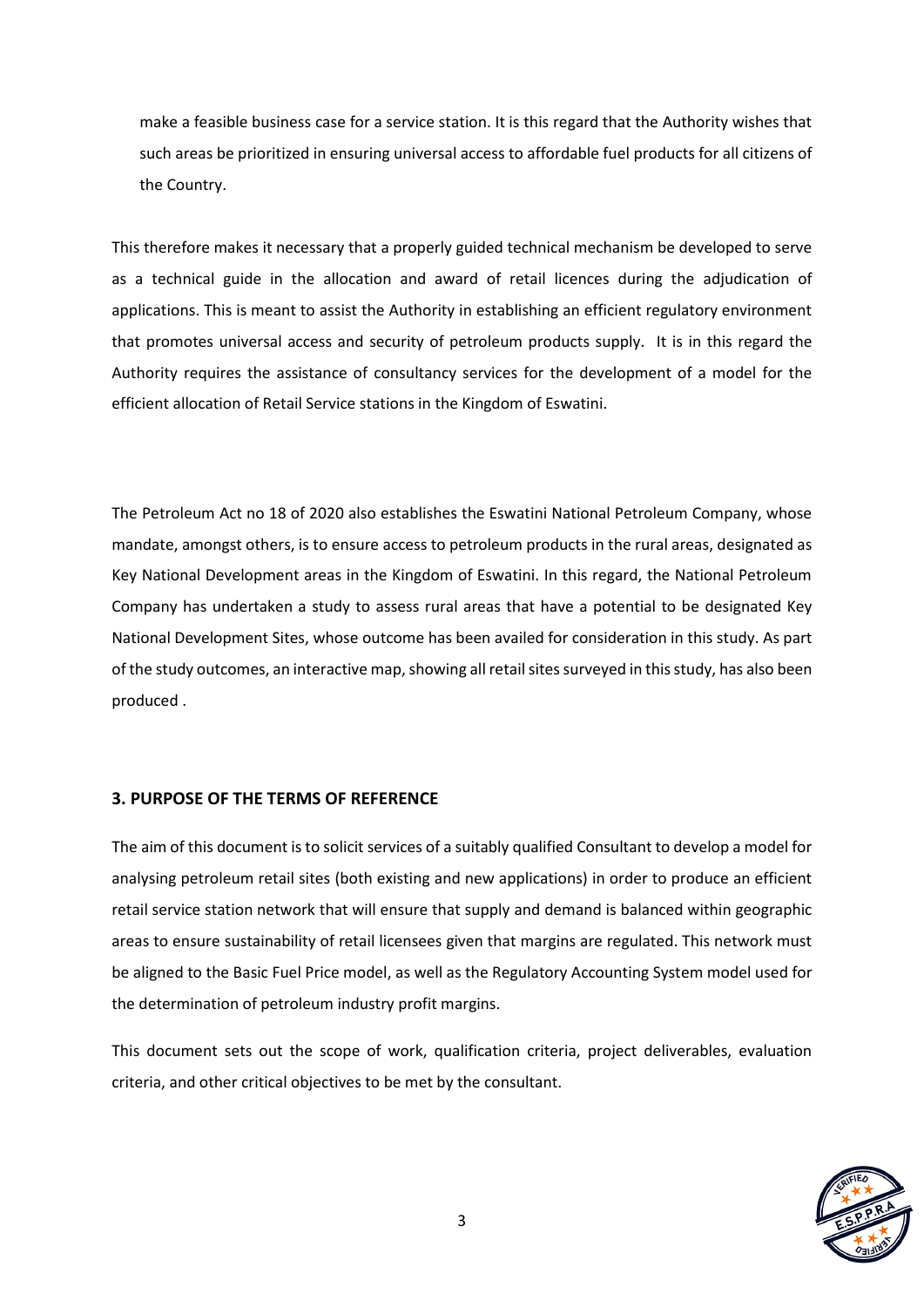make a feasible business case for a service station. It is this regard that the Authority wishes that such areas be prioritized in ensuring universal access to affordable fuel products for all citizens of the Country.

This therefore makes it necessary that a properly guided technical mechanism be developed to serve as a technical guide in the allocation and award of retail licences during the adjudication of applications. This is meant to assist the Authority in establishing an efficient regulatory environment that promotes universal access and security of petroleum products supply. It is in this regard the Authority requires the assistance of consultancy services for the development of a model for the efficient allocation of Retail Service stations in the Kingdom of Eswatini.

The Petroleum Act no 18 of 2020 also establishes the Eswatini National Petroleum Company, whose mandate, amongst others, is to ensure access to petroleum products in the rural areas, designated as Key National Development areas in the Kingdom of Eswatini. In this regard, the National Petroleum Company has undertaken a study to assess rural areas that have a potential to be designated Key National Development Sites, whose outcome has been availed for consideration in this study. As part of the study outcomes, an interactive map, showing all retail sites surveyed in this study, has also been produced .

#### **3. PURPOSE OF THE TERMS OF REFERENCE**

The aim of this document is to solicit services of a suitably qualified Consultant to develop a model for analysing petroleum retail sites (both existing and new applications) in order to produce an efficient retail service station network that will ensure that supply and demand is balanced within geographic areas to ensure sustainability of retail licensees given that margins are regulated. This network must be aligned to the Basic Fuel Price model, as well as the Regulatory Accounting System model used for the determination of petroleum industry profit margins.

This document sets out the scope of work, qualification criteria, project deliverables, evaluation criteria, and other critical objectives to be met by the consultant.

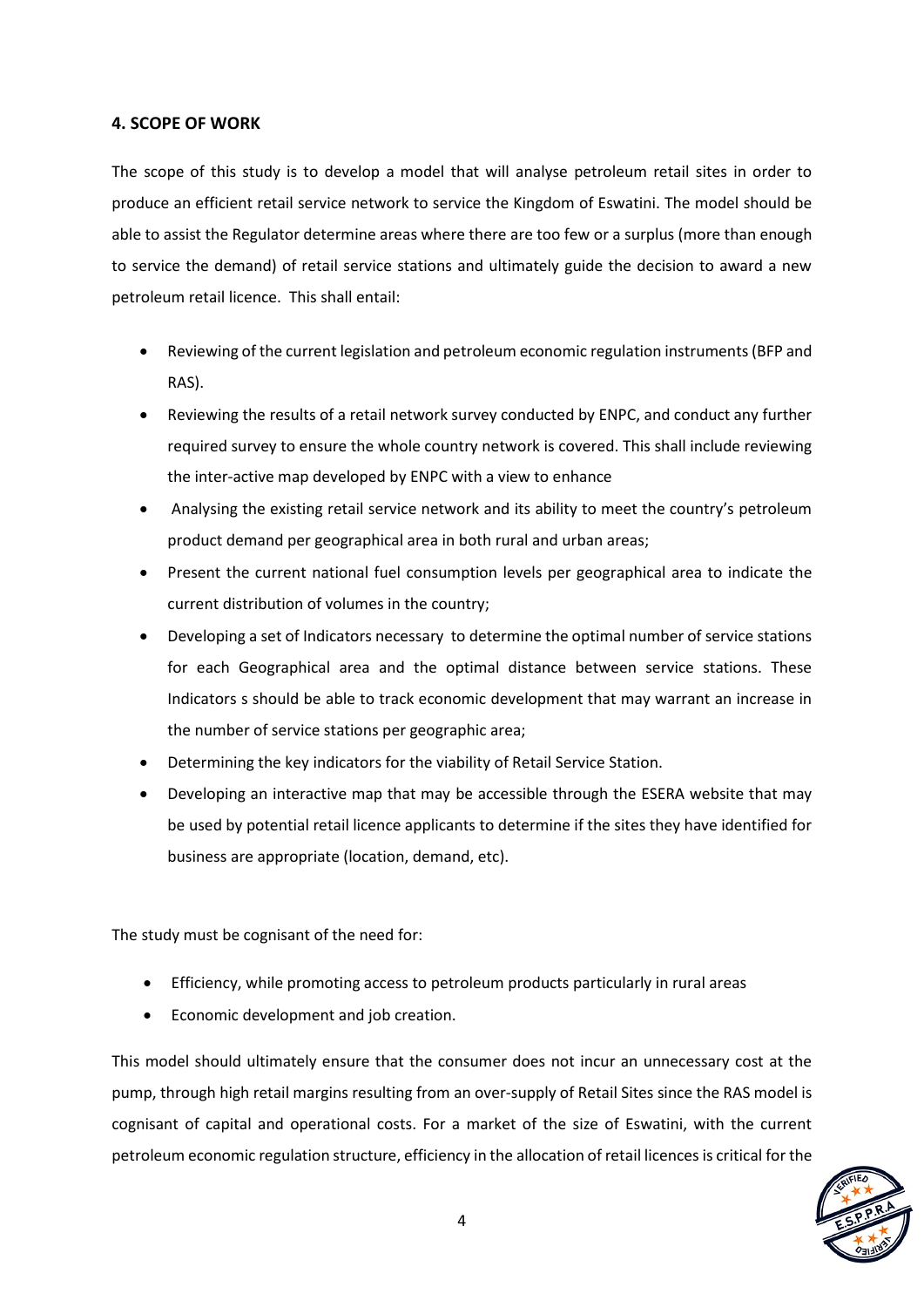#### **4. SCOPE OF WORK**

The scope of this study is to develop a model that will analyse petroleum retail sites in order to produce an efficient retail service network to service the Kingdom of Eswatini. The model should be able to assist the Regulator determine areas where there are too few or a surplus (more than enough to service the demand) of retail service stations and ultimately guide the decision to award a new petroleum retail licence. This shall entail:

- Reviewing of the current legislation and petroleum economic regulation instruments (BFP and RAS).
- Reviewing the results of a retail network survey conducted by ENPC, and conduct any further required survey to ensure the whole country network is covered. This shall include reviewing the inter-active map developed by ENPC with a view to enhance
- Analysing the existing retail service network and its ability to meet the country's petroleum product demand per geographical area in both rural and urban areas;
- Present the current national fuel consumption levels per geographical area to indicate the current distribution of volumes in the country;
- Developing a set of Indicators necessary to determine the optimal number of service stations for each Geographical area and the optimal distance between service stations. These Indicators s should be able to track economic development that may warrant an increase in the number of service stations per geographic area;
- Determining the key indicators for the viability of Retail Service Station.
- Developing an interactive map that may be accessible through the ESERA website that may be used by potential retail licence applicants to determine if the sites they have identified for business are appropriate (location, demand, etc).

The study must be cognisant of the need for:

- Efficiency, while promoting access to petroleum products particularly in rural areas
- Economic development and job creation.

This model should ultimately ensure that the consumer does not incur an unnecessary cost at the pump, through high retail margins resulting from an over-supply of Retail Sites since the RAS model is cognisant of capital and operational costs. For a market of the size of Eswatini, with the current petroleum economic regulation structure, efficiency in the allocation of retail licences is critical for the

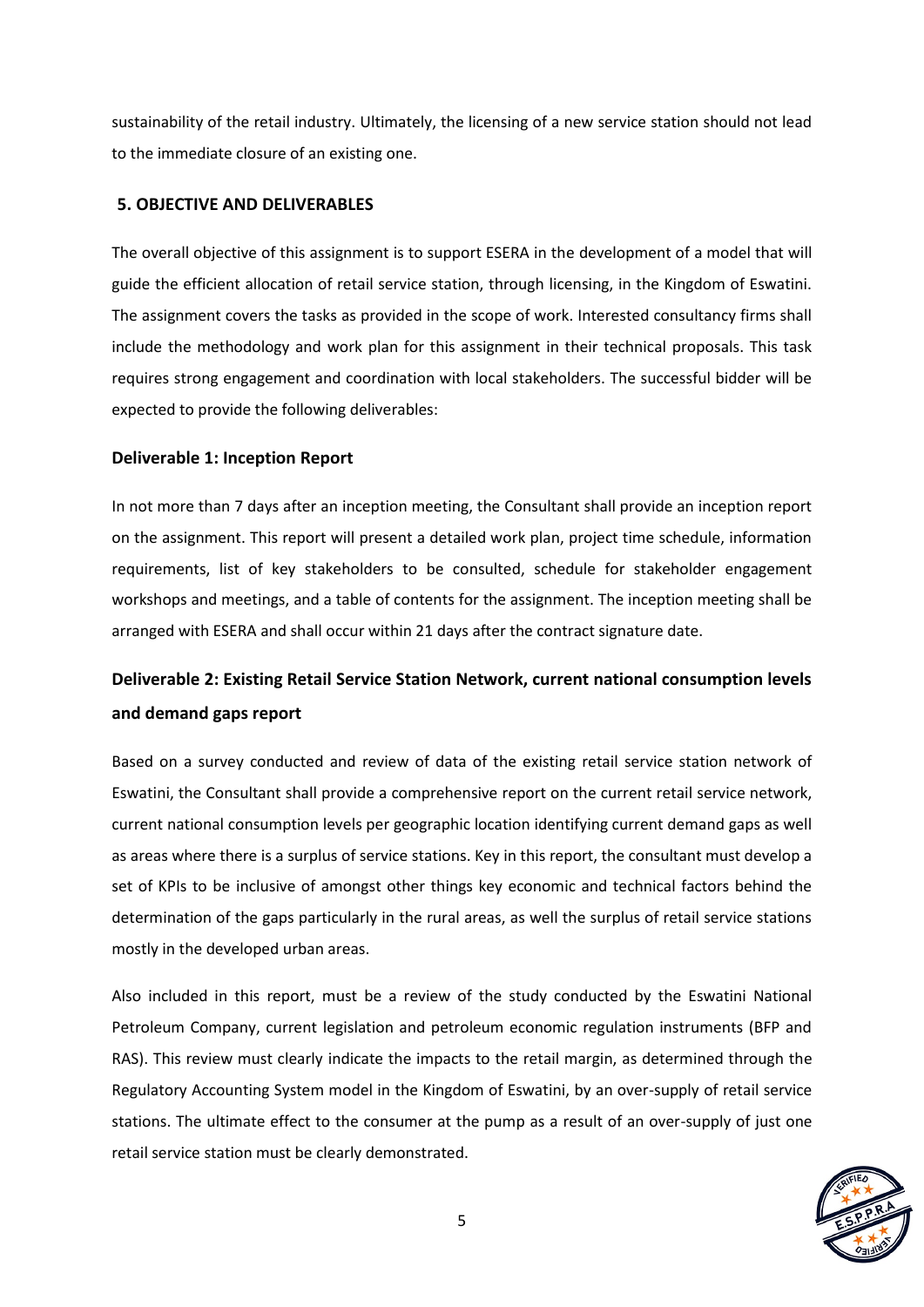sustainability of the retail industry. Ultimately, the licensing of a new service station should not lead to the immediate closure of an existing one.

#### **5. OBJECTIVE AND DELIVERABLES**

The overall objective of this assignment is to support ESERA in the development of a model that will guide the efficient allocation of retail service station, through licensing, in the Kingdom of Eswatini. The assignment covers the tasks as provided in the scope of work. Interested consultancy firms shall include the methodology and work plan for this assignment in their technical proposals. This task requires strong engagement and coordination with local stakeholders. The successful bidder will be expected to provide the following deliverables:

#### **Deliverable 1: Inception Report**

In not more than 7 days after an inception meeting, the Consultant shall provide an inception report on the assignment. This report will present a detailed work plan, project time schedule, information requirements, list of key stakeholders to be consulted, schedule for stakeholder engagement workshops and meetings, and a table of contents for the assignment. The inception meeting shall be arranged with ESERA and shall occur within 21 days after the contract signature date.

## **Deliverable 2: Existing Retail Service Station Network, current national consumption levels and demand gaps report**

Based on a survey conducted and review of data of the existing retail service station network of Eswatini, the Consultant shall provide a comprehensive report on the current retail service network, current national consumption levels per geographic location identifying current demand gaps as well as areas where there is a surplus of service stations. Key in this report, the consultant must develop a set of KPIs to be inclusive of amongst other things key economic and technical factors behind the determination of the gaps particularly in the rural areas, as well the surplus of retail service stations mostly in the developed urban areas.

Also included in this report, must be a review of the study conducted by the Eswatini National Petroleum Company, current legislation and petroleum economic regulation instruments (BFP and RAS). This review must clearly indicate the impacts to the retail margin, as determined through the Regulatory Accounting System model in the Kingdom of Eswatini, by an over-supply of retail service stations. The ultimate effect to the consumer at the pump as a result of an over-supply of just one retail service station must be clearly demonstrated.

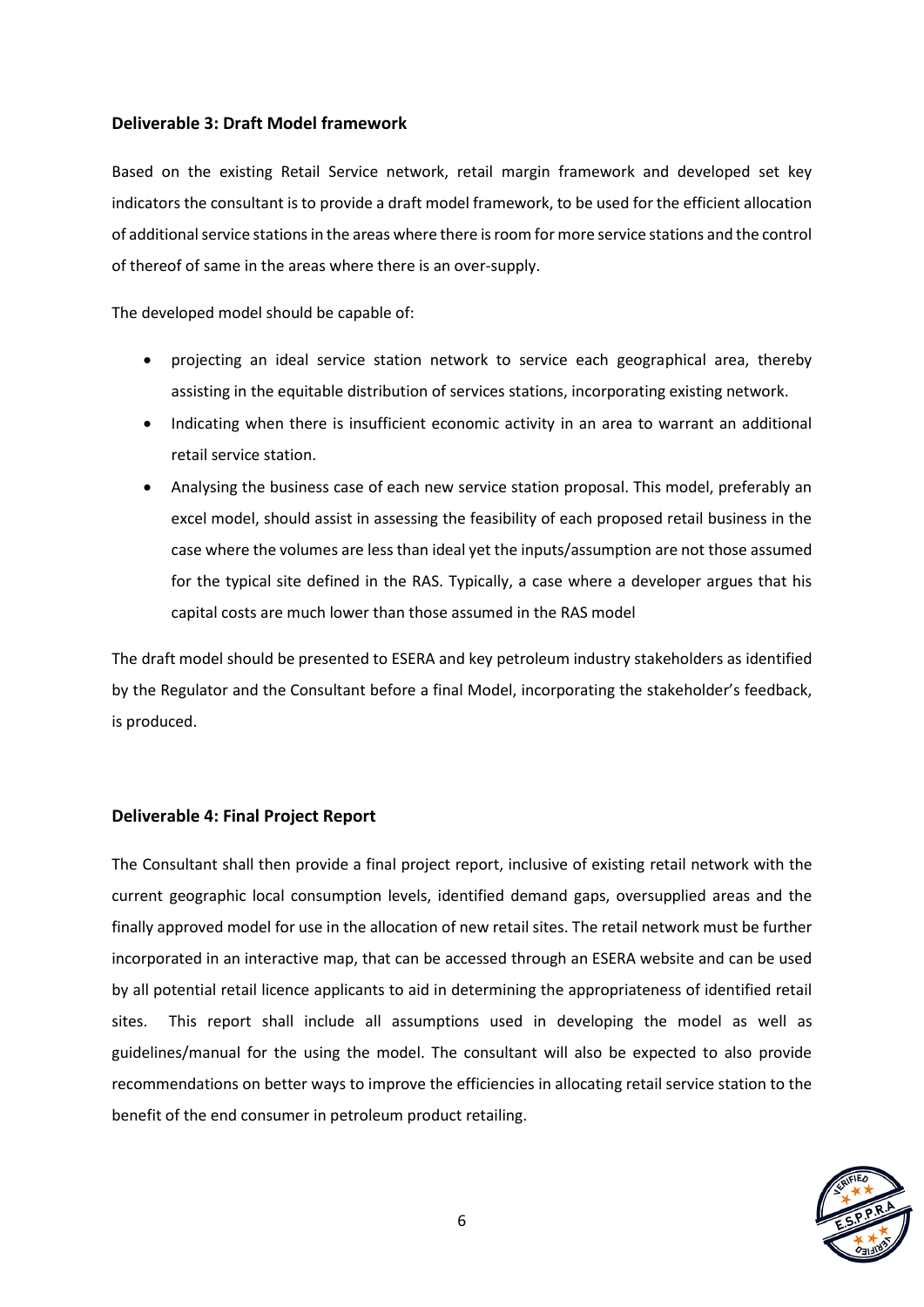#### **Deliverable 3: Draft Model framework**

Based on the existing Retail Service network, retail margin framework and developed set key indicators the consultant is to provide a draft model framework, to be used for the efficient allocation of additional service stations in the areas where there is room for more service stations and the control of thereof of same in the areas where there is an over-supply.

The developed model should be capable of:

- projecting an ideal service station network to service each geographical area, thereby assisting in the equitable distribution of services stations, incorporating existing network.
- Indicating when there is insufficient economic activity in an area to warrant an additional retail service station.
- Analysing the business case of each new service station proposal. This model, preferably an excel model, should assist in assessing the feasibility of each proposed retail business in the case where the volumes are less than ideal yet the inputs/assumption are not those assumed for the typical site defined in the RAS. Typically, a case where a developer argues that his capital costs are much lower than those assumed in the RAS model

The draft model should be presented to ESERA and key petroleum industry stakeholders as identified by the Regulator and the Consultant before a final Model, incorporating the stakeholder's feedback, is produced.

#### **Deliverable 4: Final Project Report**

The Consultant shall then provide a final project report, inclusive of existing retail network with the current geographic local consumption levels, identified demand gaps, oversupplied areas and the finally approved model for use in the allocation of new retail sites. The retail network must be further incorporated in an interactive map, that can be accessed through an ESERA website and can be used by all potential retail licence applicants to aid in determining the appropriateness of identified retail sites. This report shall include all assumptions used in developing the model as well as guidelines/manual for the using the model. The consultant will also be expected to also provide recommendations on better ways to improve the efficiencies in allocating retail service station to the benefit of the end consumer in petroleum product retailing.

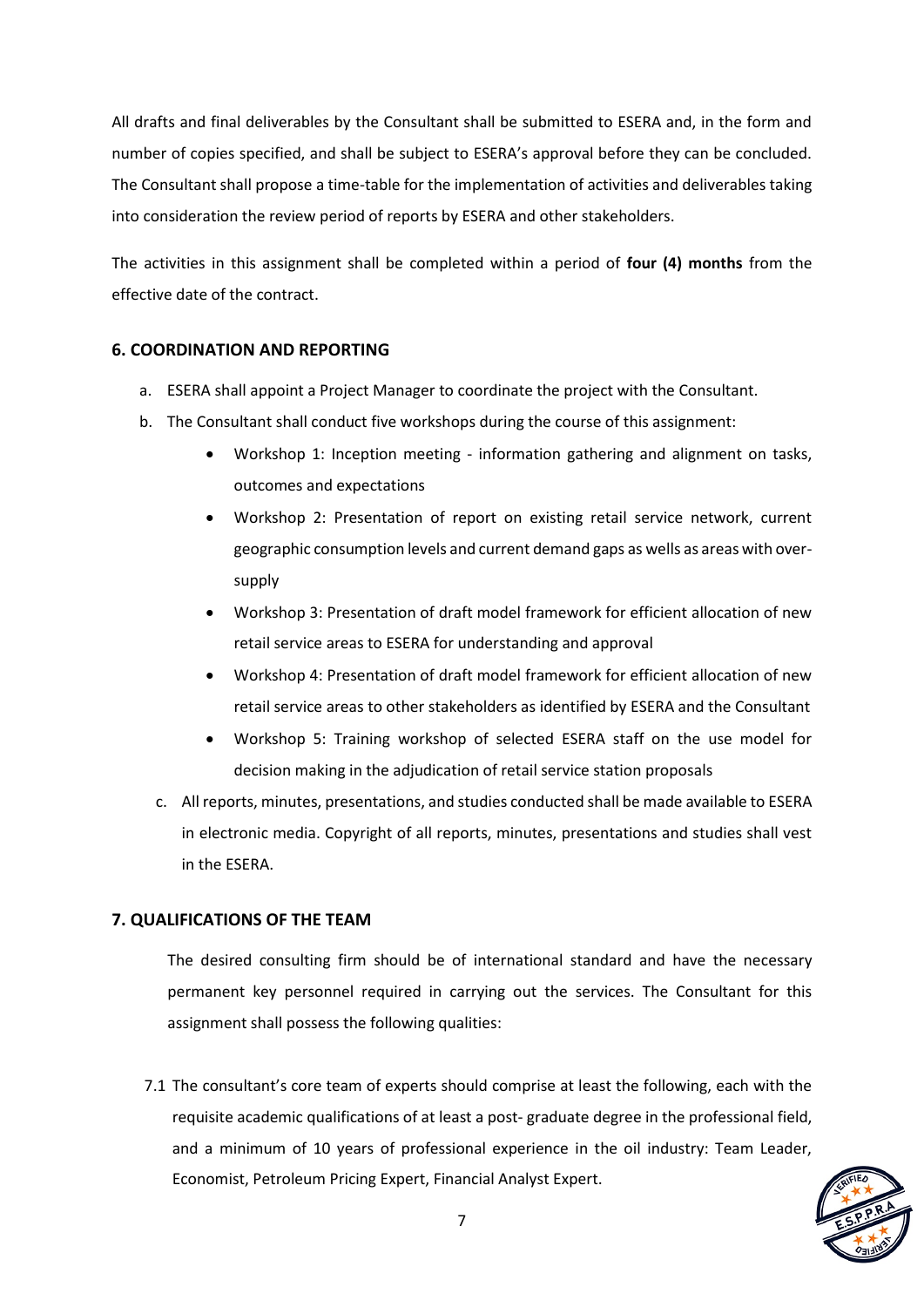All drafts and final deliverables by the Consultant shall be submitted to ESERA and, in the form and number of copies specified, and shall be subject to ESERA's approval before they can be concluded. The Consultant shall propose a time-table for the implementation of activities and deliverables taking into consideration the review period of reports by ESERA and other stakeholders.

The activities in this assignment shall be completed within a period of **four (4) months** from the effective date of the contract.

#### **6. COORDINATION AND REPORTING**

- a. ESERA shall appoint a Project Manager to coordinate the project with the Consultant.
- b. The Consultant shall conduct five workshops during the course of this assignment:
	- Workshop 1: Inception meeting information gathering and alignment on tasks, outcomes and expectations
	- Workshop 2: Presentation of report on existing retail service network, current geographic consumption levels and current demand gaps as wells as areas with oversupply
	- Workshop 3: Presentation of draft model framework for efficient allocation of new retail service areas to ESERA for understanding and approval
	- Workshop 4: Presentation of draft model framework for efficient allocation of new retail service areas to other stakeholders as identified by ESERA and the Consultant
	- Workshop 5: Training workshop of selected ESERA staff on the use model for decision making in the adjudication of retail service station proposals
	- c. All reports, minutes, presentations, and studies conducted shall be made available to ESERA in electronic media. Copyright of all reports, minutes, presentations and studies shall vest in the ESERA.

## **7. QUALIFICATIONS OF THE TEAM**

The desired consulting firm should be of international standard and have the necessary permanent key personnel required in carrying out the services. The Consultant for this assignment shall possess the following qualities:

7.1 The consultant's core team of experts should comprise at least the following, each with the requisite academic qualifications of at least a post- graduate degree in the professional field, and a minimum of 10 years of professional experience in the oil industry: Team Leader, Economist, Petroleum Pricing Expert, Financial Analyst Expert.

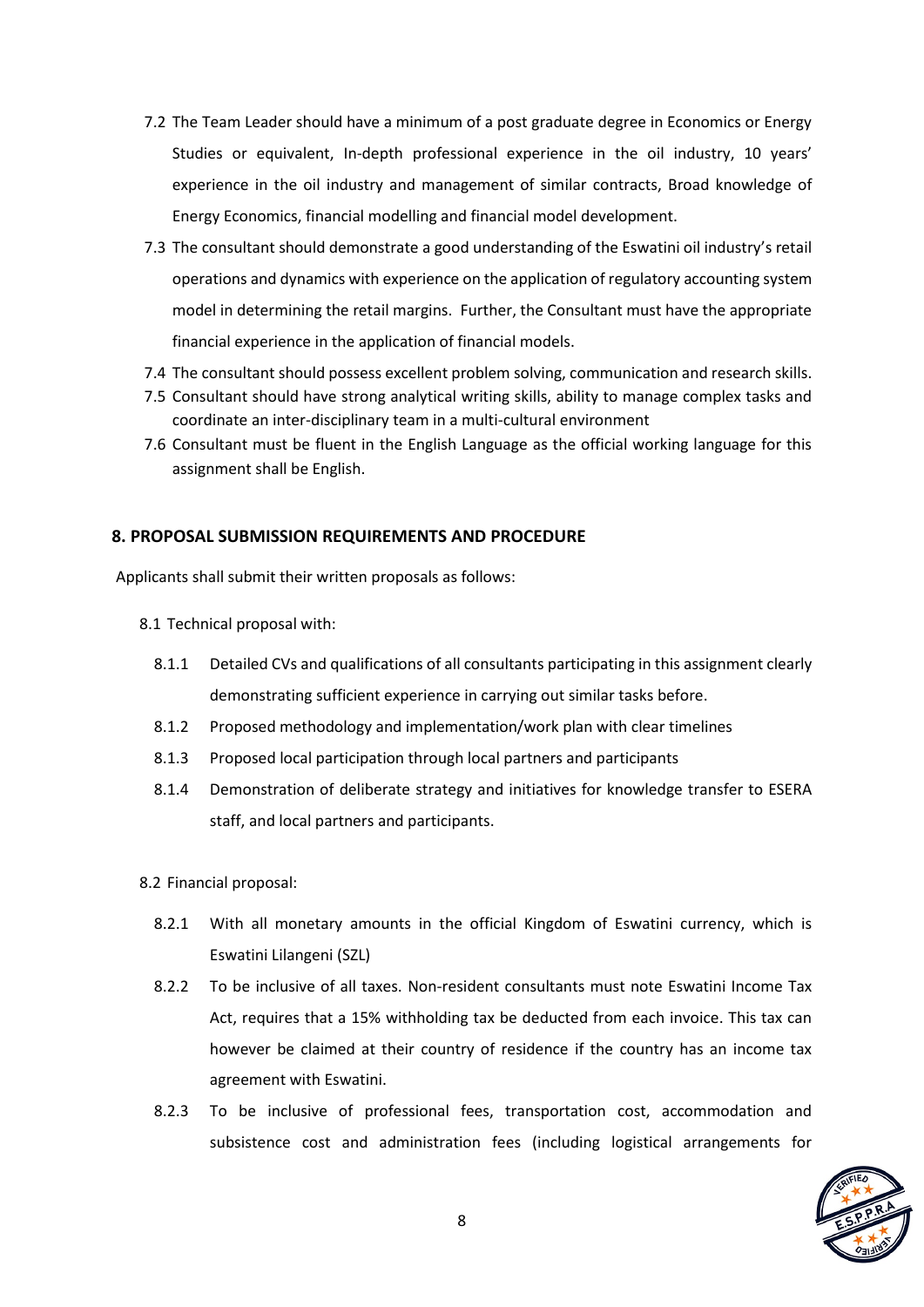- 7.2 The Team Leader should have a minimum of a post graduate degree in Economics or Energy Studies or equivalent, In-depth professional experience in the oil industry, 10 years' experience in the oil industry and management of similar contracts, Broad knowledge of Energy Economics, financial modelling and financial model development.
- 7.3 The consultant should demonstrate a good understanding of the Eswatini oil industry's retail operations and dynamics with experience on the application of regulatory accounting system model in determining the retail margins. Further, the Consultant must have the appropriate financial experience in the application of financial models.
- 7.4 The consultant should possess excellent problem solving, communication and research skills.
- 7.5 Consultant should have strong analytical writing skills, ability to manage complex tasks and coordinate an inter-disciplinary team in a multi-cultural environment
- 7.6 Consultant must be fluent in the English Language as the official working language for this assignment shall be English.

#### **8. PROPOSAL SUBMISSION REQUIREMENTS AND PROCEDURE**

Applicants shall submit their written proposals as follows:

- 8.1 Technical proposal with:
	- 8.1.1 Detailed CVs and qualifications of all consultants participating in this assignment clearly demonstrating sufficient experience in carrying out similar tasks before.
	- 8.1.2 Proposed methodology and implementation/work plan with clear timelines
	- 8.1.3 Proposed local participation through local partners and participants
	- 8.1.4 Demonstration of deliberate strategy and initiatives for knowledge transfer to ESERA staff, and local partners and participants.
- 8.2 Financial proposal:
	- 8.2.1 With all monetary amounts in the official Kingdom of Eswatini currency, which is Eswatini Lilangeni (SZL)
	- 8.2.2 To be inclusive of all taxes. Non-resident consultants must note Eswatini Income Tax Act, requires that a 15% withholding tax be deducted from each invoice. This tax can however be claimed at their country of residence if the country has an income tax agreement with Eswatini.
	- 8.2.3 To be inclusive of professional fees, transportation cost, accommodation and subsistence cost and administration fees (including logistical arrangements for

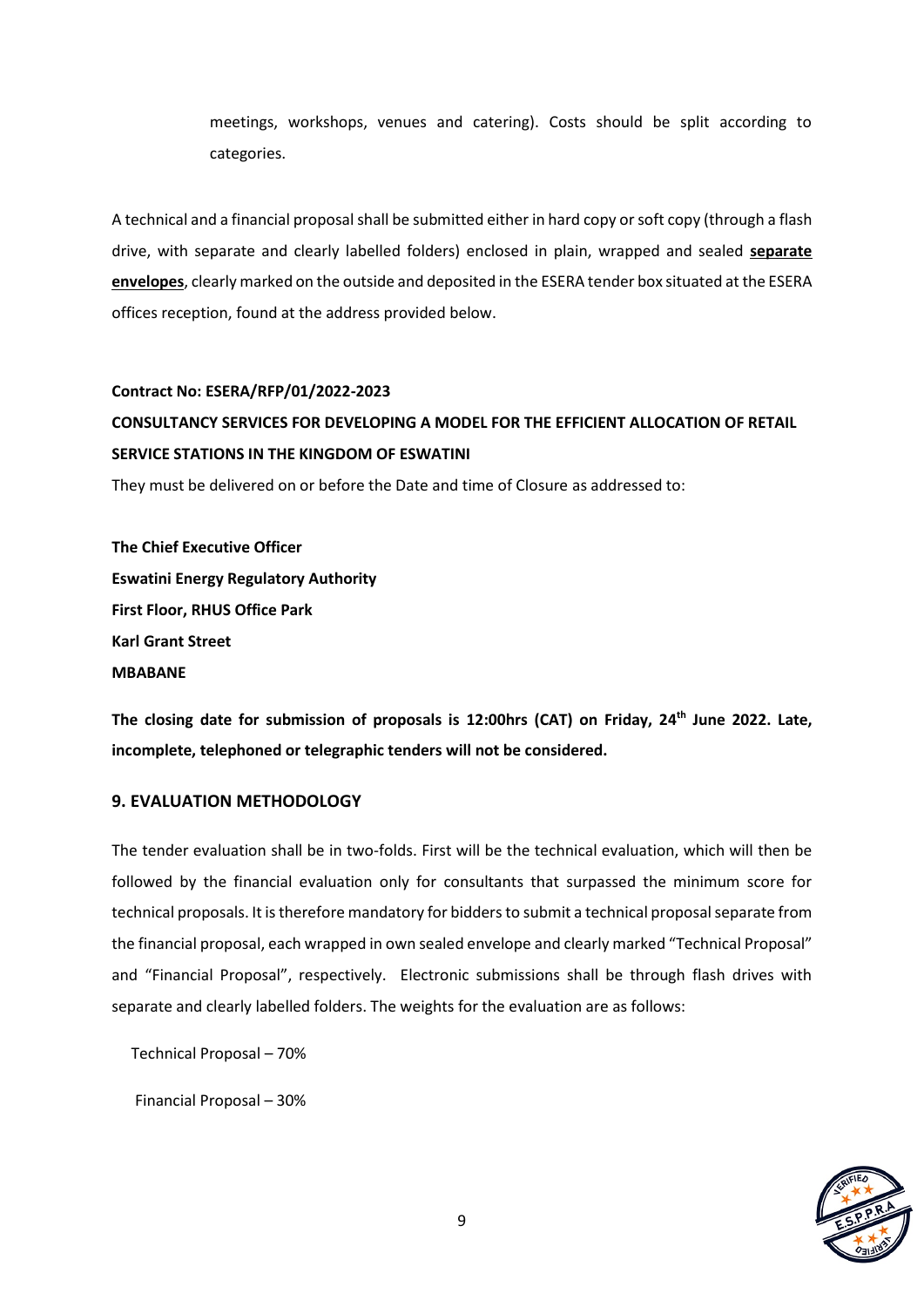meetings, workshops, venues and catering). Costs should be split according to categories.

A technical and a financial proposal shall be submitted either in hard copy or soft copy (through a flash drive, with separate and clearly labelled folders) enclosed in plain, wrapped and sealed **separate envelopes**, clearly marked on the outside and deposited in the ESERA tender box situated at the ESERA offices reception, found at the address provided below.

#### **Contract No: ESERA/RFP/01/2022-2023**

## **CONSULTANCY SERVICES FOR DEVELOPING A MODEL FOR THE EFFICIENT ALLOCATION OF RETAIL SERVICE STATIONS IN THE KINGDOM OF ESWATINI**

They must be delivered on or before the Date and time of Closure as addressed to:

**The Chief Executive Officer Eswatini Energy Regulatory Authority First Floor, RHUS Office Park Karl Grant Street MBABANE**

**The closing date for submission of proposals is 12:00hrs (CAT) on Friday, 24th June 2022. Late, incomplete, telephoned or telegraphic tenders will not be considered.** 

#### **9. EVALUATION METHODOLOGY**

The tender evaluation shall be in two-folds. First will be the technical evaluation, which will then be followed by the financial evaluation only for consultants that surpassed the minimum score for technical proposals. It is therefore mandatory for bidders to submit a technical proposal separate from the financial proposal, each wrapped in own sealed envelope and clearly marked "Technical Proposal" and "Financial Proposal", respectively. Electronic submissions shall be through flash drives with separate and clearly labelled folders. The weights for the evaluation are as follows:

Technical Proposal – 70%

Financial Proposal – 30%

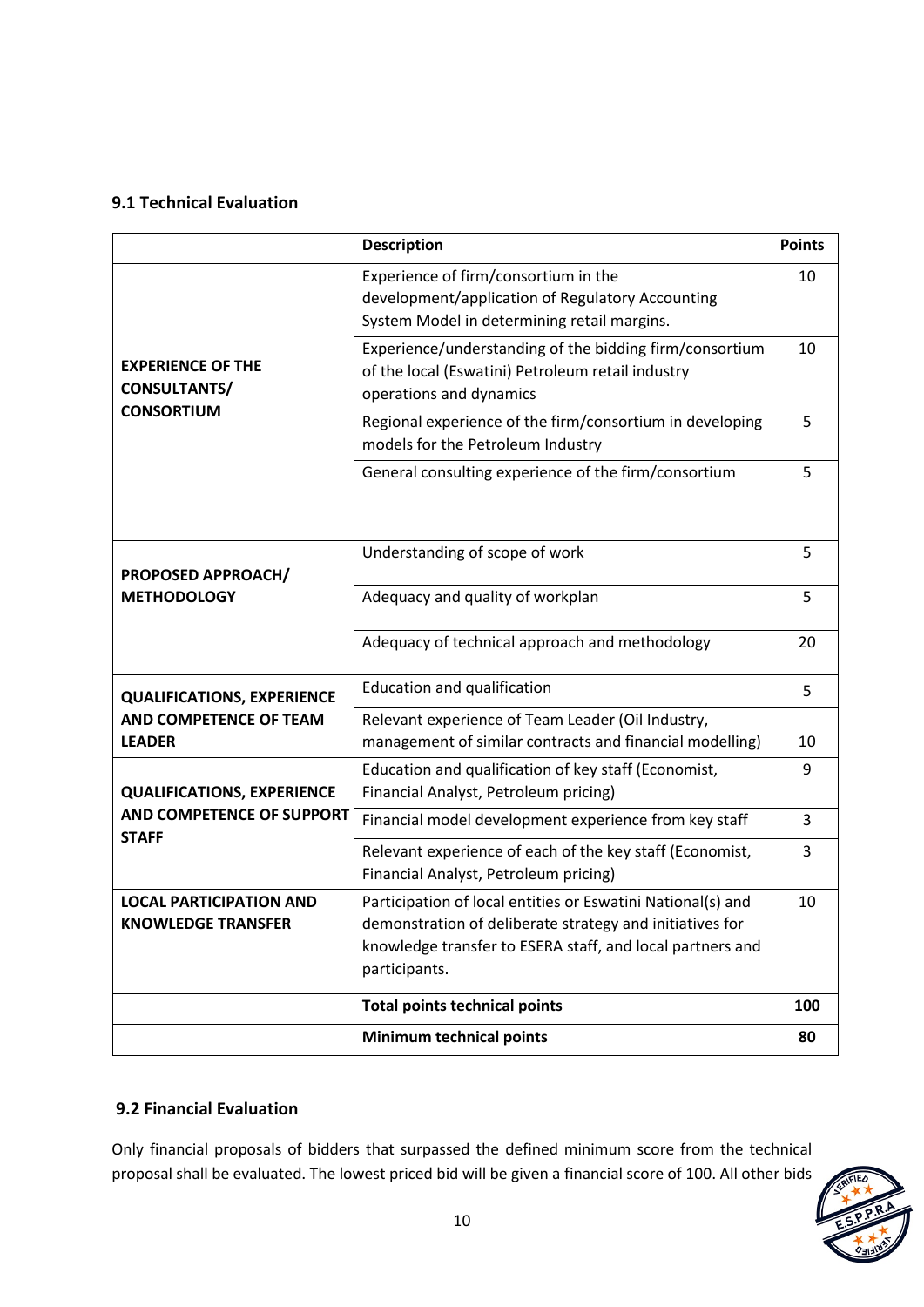## **9.1 Technical Evaluation**

|                                                             | <b>Description</b>                                                                                                                                                                                    | <b>Points</b> |
|-------------------------------------------------------------|-------------------------------------------------------------------------------------------------------------------------------------------------------------------------------------------------------|---------------|
|                                                             | Experience of firm/consortium in the<br>development/application of Regulatory Accounting<br>System Model in determining retail margins.                                                               | 10            |
| <b>EXPERIENCE OF THE</b><br>CONSULTANTS/                    | Experience/understanding of the bidding firm/consortium<br>of the local (Eswatini) Petroleum retail industry<br>operations and dynamics                                                               | 10            |
| <b>CONSORTIUM</b>                                           | Regional experience of the firm/consortium in developing<br>models for the Petroleum Industry                                                                                                         | 5             |
|                                                             | General consulting experience of the firm/consortium                                                                                                                                                  | 5             |
| <b>PROPOSED APPROACH/</b>                                   | Understanding of scope of work                                                                                                                                                                        | 5             |
| <b>METHODOLOGY</b>                                          | Adequacy and quality of workplan                                                                                                                                                                      | 5             |
|                                                             | Adequacy of technical approach and methodology                                                                                                                                                        | 20            |
| <b>QUALIFICATIONS, EXPERIENCE</b>                           | <b>Education and qualification</b>                                                                                                                                                                    | 5             |
| AND COMPETENCE OF TEAM<br><b>LEADER</b>                     | Relevant experience of Team Leader (Oil Industry,<br>management of similar contracts and financial modelling)                                                                                         | 10            |
| <b>QUALIFICATIONS, EXPERIENCE</b>                           | Education and qualification of key staff (Economist,<br>Financial Analyst, Petroleum pricing)                                                                                                         | 9             |
| <b>AND COMPETENCE OF SUPPORT</b><br><b>STAFF</b>            | Financial model development experience from key staff                                                                                                                                                 | 3             |
|                                                             | Relevant experience of each of the key staff (Economist,<br>Financial Analyst, Petroleum pricing)                                                                                                     | 3             |
| <b>LOCAL PARTICIPATION AND</b><br><b>KNOWLEDGE TRANSFER</b> | Participation of local entities or Eswatini National(s) and<br>demonstration of deliberate strategy and initiatives for<br>knowledge transfer to ESERA staff, and local partners and<br>participants. | 10            |
|                                                             | <b>Total points technical points</b>                                                                                                                                                                  | 100           |
|                                                             | <b>Minimum technical points</b>                                                                                                                                                                       | 80            |

## **9.2 Financial Evaluation**

Only financial proposals of bidders that surpassed the defined minimum score from the technical proposal shall be evaluated. The lowest priced bid will be given a financial score of 100. All other bids

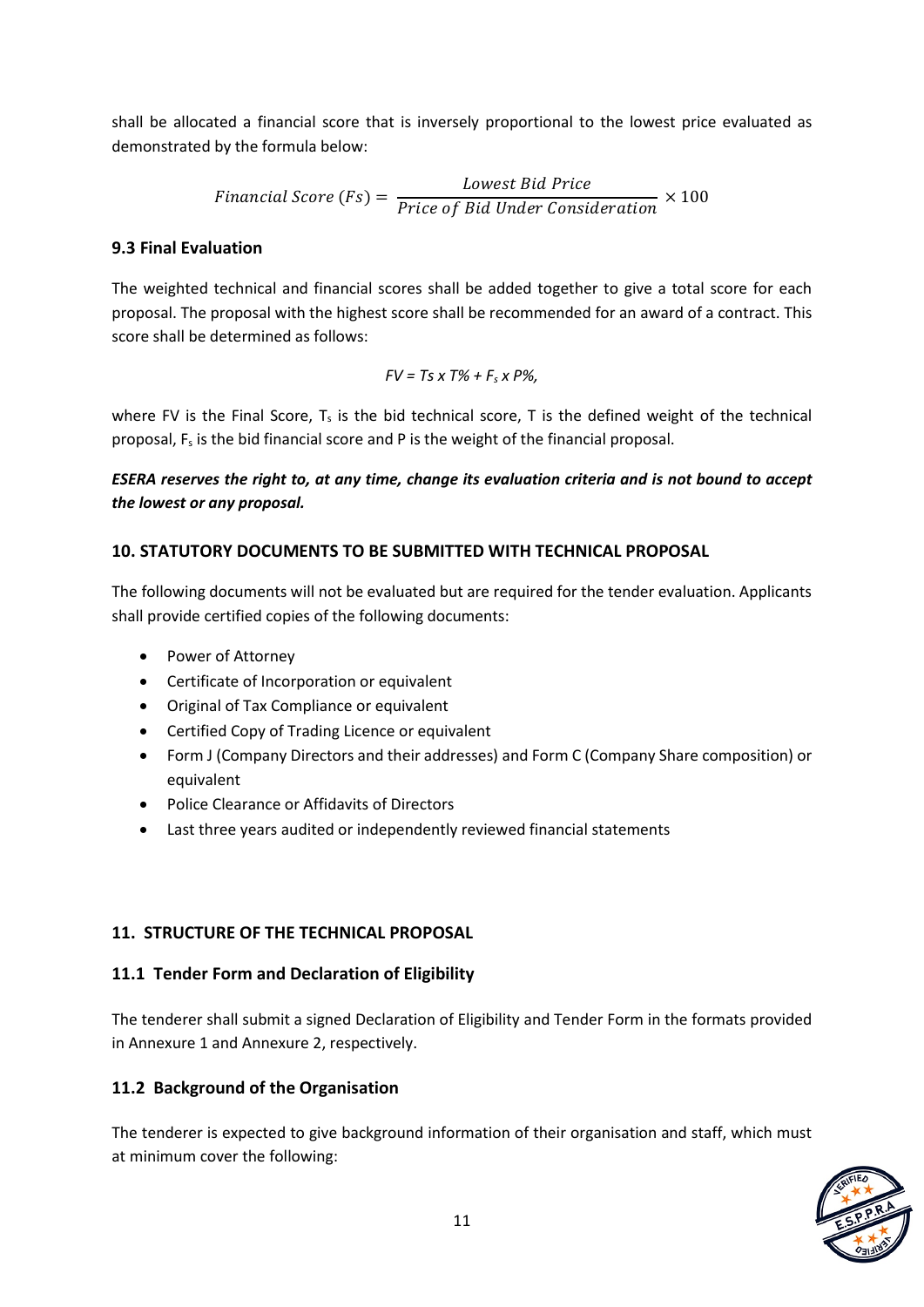shall be allocated a financial score that is inversely proportional to the lowest price evaluated as demonstrated by the formula below:

$$
Financial Score (Fs) = \frac{Lowest Bid Price}{Price of Bid Under Consideration} \times 100
$$

#### **9.3 Final Evaluation**

The weighted technical and financial scores shall be added together to give a total score for each proposal. The proposal with the highest score shall be recommended for an award of a contract. This score shall be determined as follows:

$$
FV = Ts \times T\% + F_s \times P\%,
$$

where FV is the Final Score,  $T_s$  is the bid technical score, T is the defined weight of the technical proposal,  $F_s$  is the bid financial score and P is the weight of the financial proposal.

*ESERA reserves the right to, at any time, change its evaluation criteria and is not bound to accept the lowest or any proposal.*

#### **10. STATUTORY DOCUMENTS TO BE SUBMITTED WITH TECHNICAL PROPOSAL**

The following documents will not be evaluated but are required for the tender evaluation. Applicants shall provide certified copies of the following documents:

- Power of Attorney
- Certificate of Incorporation or equivalent
- Original of Tax Compliance or equivalent
- Certified Copy of Trading Licence or equivalent
- Form J (Company Directors and their addresses) and Form C (Company Share composition) or equivalent
- Police Clearance or Affidavits of Directors
- Last three years audited or independently reviewed financial statements

## **11. STRUCTURE OF THE TECHNICAL PROPOSAL**

## **11.1 Tender Form and Declaration of Eligibility**

The tenderer shall submit a signed Declaration of Eligibility and Tender Form in the formats provided in Annexure 1 and Annexure 2, respectively.

## **11.2 Background of the Organisation**

The tenderer is expected to give background information of their organisation and staff, which must at minimum cover the following:

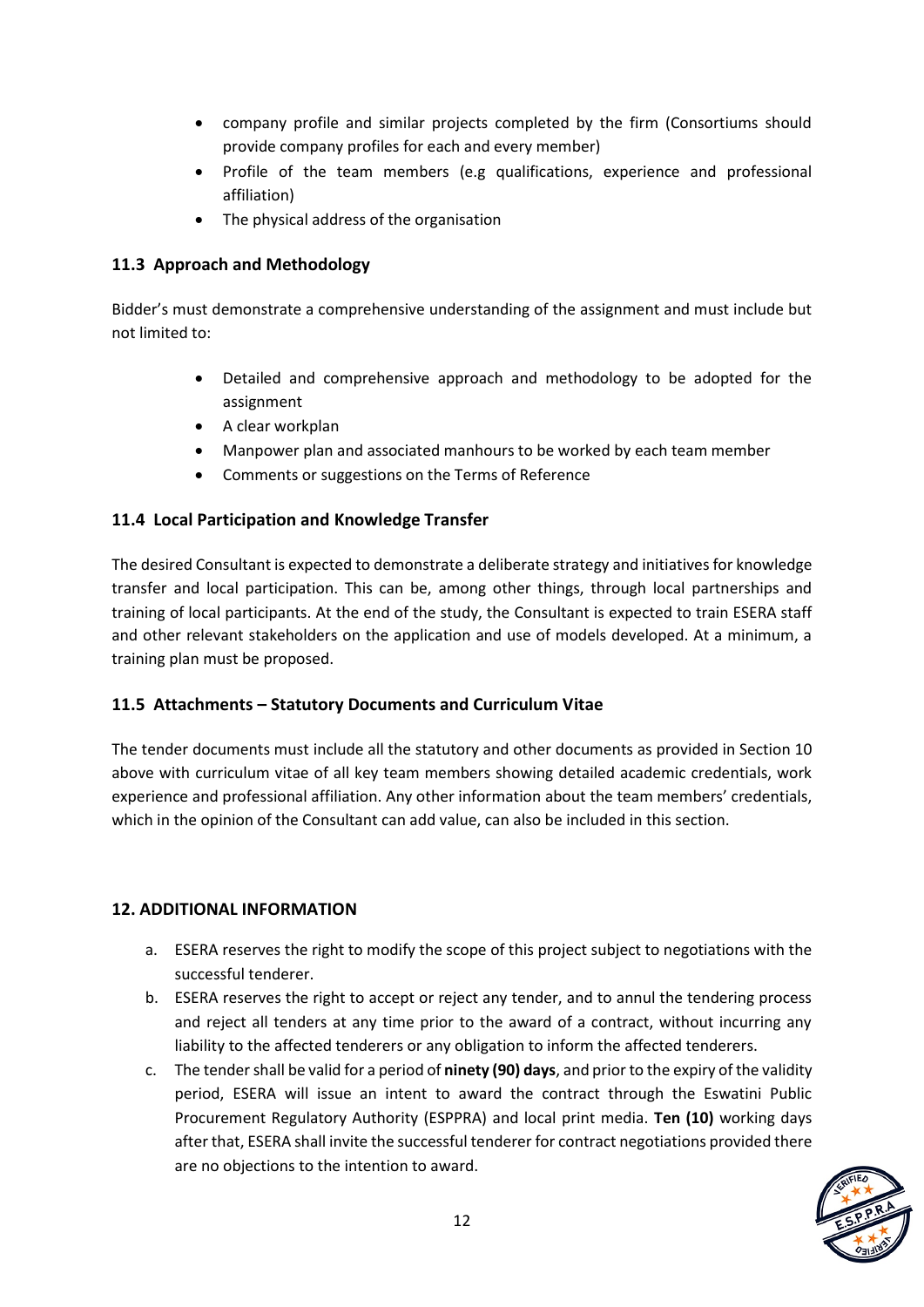- company profile and similar projects completed by the firm (Consortiums should provide company profiles for each and every member)
- Profile of the team members (e.g qualifications, experience and professional affiliation)
- The physical address of the organisation

#### **11.3 Approach and Methodology**

Bidder's must demonstrate a comprehensive understanding of the assignment and must include but not limited to:

- Detailed and comprehensive approach and methodology to be adopted for the assignment
- A clear workplan
- Manpower plan and associated manhours to be worked by each team member
- Comments or suggestions on the Terms of Reference

#### **11.4 Local Participation and Knowledge Transfer**

The desired Consultant is expected to demonstrate a deliberate strategy and initiatives for knowledge transfer and local participation. This can be, among other things, through local partnerships and training of local participants. At the end of the study, the Consultant is expected to train ESERA staff and other relevant stakeholders on the application and use of models developed. At a minimum, a training plan must be proposed.

#### **11.5 Attachments – Statutory Documents and Curriculum Vitae**

The tender documents must include all the statutory and other documents as provided in Section 10 above with curriculum vitae of all key team members showing detailed academic credentials, work experience and professional affiliation. Any other information about the team members' credentials, which in the opinion of the Consultant can add value, can also be included in this section.

#### **12. ADDITIONAL INFORMATION**

- a. ESERA reserves the right to modify the scope of this project subject to negotiations with the successful tenderer.
- b. ESERA reserves the right to accept or reject any tender, and to annul the tendering process and reject all tenders at any time prior to the award of a contract, without incurring any liability to the affected tenderers or any obligation to inform the affected tenderers.
- c. The tender shall be valid for a period of **ninety (90) days**, and prior to the expiry of the validity period, ESERA will issue an intent to award the contract through the Eswatini Public Procurement Regulatory Authority (ESPPRA) and local print media. **Ten (10)** working days after that, ESERA shall invite the successful tenderer for contract negotiations provided there are no objections to the intention to award.

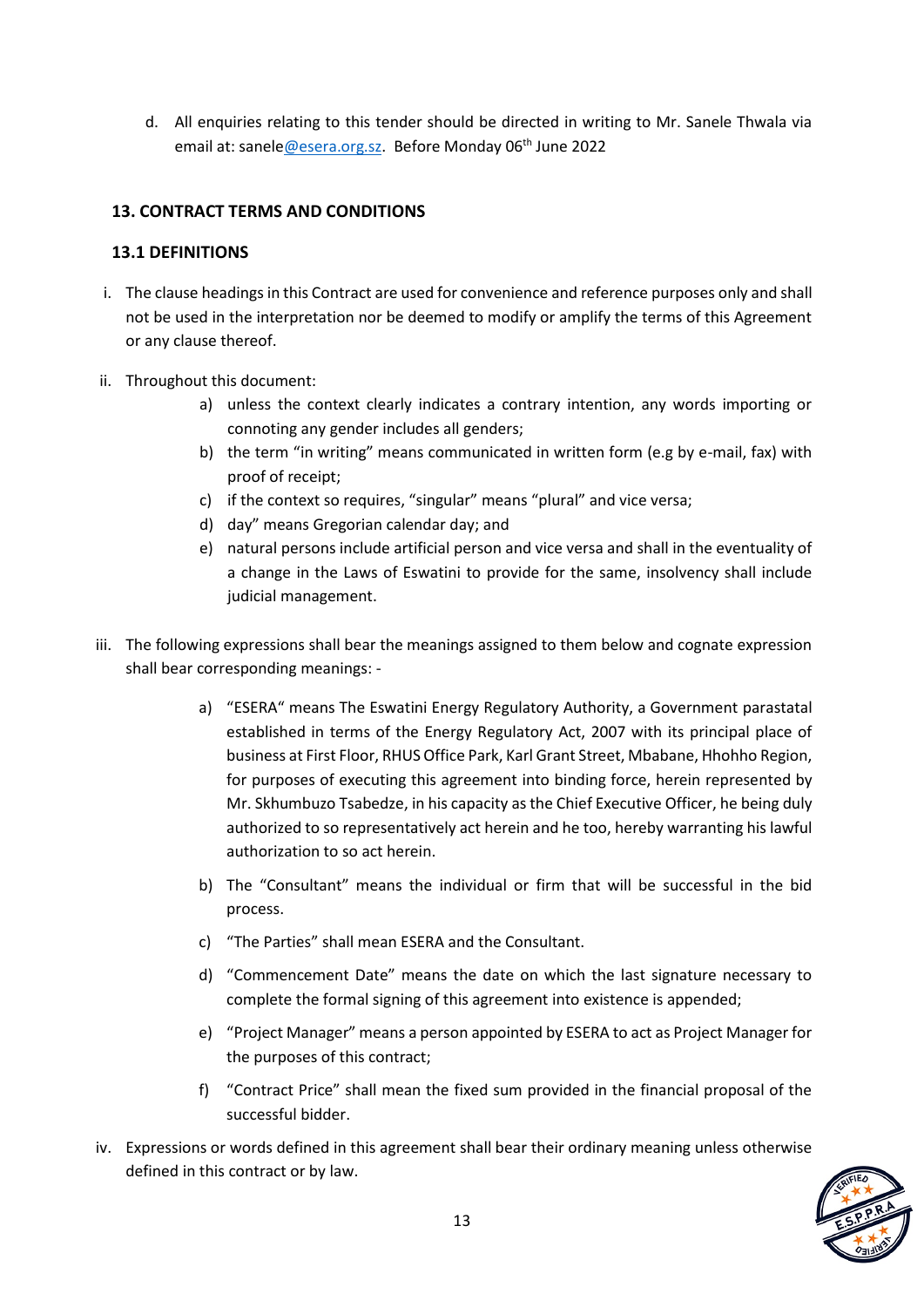d. All enquiries relating to this tender should be directed in writing to Mr. Sanele Thwala via email at: sanele@esera.org.sz. Before Monday 06<sup>th</sup> June 2022

## **13. CONTRACT TERMS AND CONDITIONS**

#### **13.1 DEFINITIONS**

- i. The clause headings in this Contract are used for convenience and reference purposes only and shall not be used in the interpretation nor be deemed to modify or amplify the terms of this Agreement or any clause thereof.
- ii. Throughout this document:
	- a) unless the context clearly indicates a contrary intention, any words importing or connoting any gender includes all genders;
	- b) the term "in writing" means communicated in written form (e.g by e-mail, fax) with proof of receipt;
	- c) if the context so requires, "singular" means "plural" and vice versa;
	- d) day" means Gregorian calendar day; and
	- e) natural persons include artificial person and vice versa and shall in the eventuality of a change in the Laws of Eswatini to provide for the same, insolvency shall include judicial management.
- iii. The following expressions shall bear the meanings assigned to them below and cognate expression shall bear corresponding meanings:
	- a) "ESERA" means The Eswatini Energy Regulatory Authority, a Government parastatal established in terms of the Energy Regulatory Act, 2007 with its principal place of business at First Floor, RHUS Office Park, Karl Grant Street, Mbabane, Hhohho Region, for purposes of executing this agreement into binding force, herein represented by Mr. Skhumbuzo Tsabedze, in his capacity as the Chief Executive Officer, he being duly authorized to so representatively act herein and he too, hereby warranting his lawful authorization to so act herein.
	- b) The "Consultant" means the individual or firm that will be successful in the bid process.
	- c) "The Parties" shall mean ESERA and the Consultant.
	- d) "Commencement Date" means the date on which the last signature necessary to complete the formal signing of this agreement into existence is appended;
	- e) "Project Manager" means a person appointed by ESERA to act as Project Manager for the purposes of this contract;
	- f) "Contract Price" shall mean the fixed sum provided in the financial proposal of the successful bidder.
- iv. Expressions or words defined in this agreement shall bear their ordinary meaning unless otherwise defined in this contract or by law.

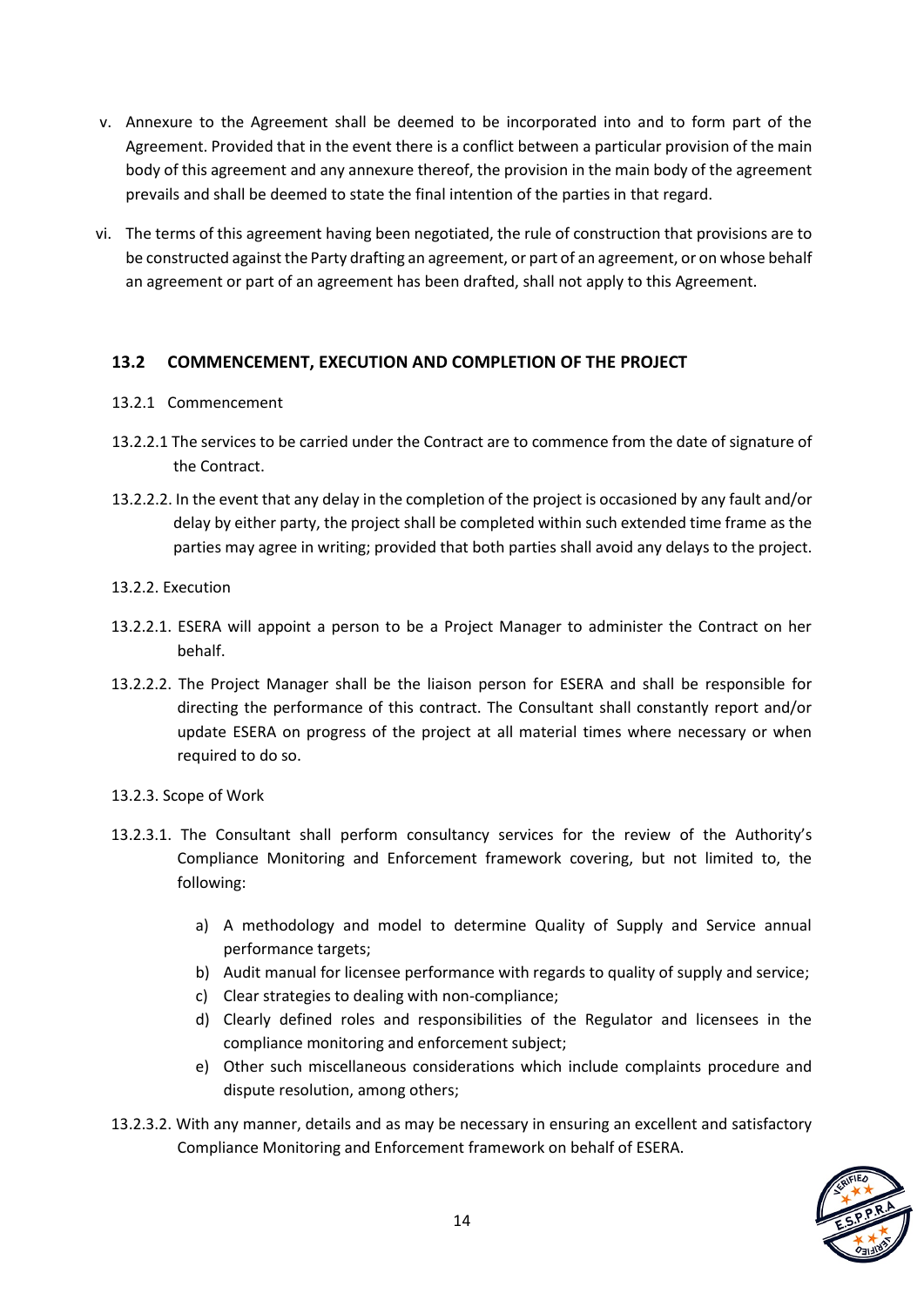- v. Annexure to the Agreement shall be deemed to be incorporated into and to form part of the Agreement. Provided that in the event there is a conflict between a particular provision of the main body of this agreement and any annexure thereof, the provision in the main body of the agreement prevails and shall be deemed to state the final intention of the parties in that regard.
- vi. The terms of this agreement having been negotiated, the rule of construction that provisions are to be constructed against the Party drafting an agreement, or part of an agreement, or on whose behalf an agreement or part of an agreement has been drafted, shall not apply to this Agreement.

## **13.2 COMMENCEMENT, EXECUTION AND COMPLETION OF THE PROJECT**

- 13.2.1 Commencement
- 13.2.2.1 The services to be carried under the Contract are to commence from the date of signature of the Contract.
- 13.2.2.2. In the event that any delay in the completion of the project is occasioned by any fault and/or delay by either party, the project shall be completed within such extended time frame as the parties may agree in writing; provided that both parties shall avoid any delays to the project.
- 13.2.2. Execution
- 13.2.2.1. ESERA will appoint a person to be a Project Manager to administer the Contract on her behalf.
- 13.2.2.2. The Project Manager shall be the liaison person for ESERA and shall be responsible for directing the performance of this contract. The Consultant shall constantly report and/or update ESERA on progress of the project at all material times where necessary or when required to do so.
- 13.2.3. Scope of Work
- 13.2.3.1. The Consultant shall perform consultancy services for the review of the Authority's Compliance Monitoring and Enforcement framework covering, but not limited to, the following:
	- a) A methodology and model to determine Quality of Supply and Service annual performance targets;
	- b) Audit manual for licensee performance with regards to quality of supply and service;
	- c) Clear strategies to dealing with non-compliance;
	- d) Clearly defined roles and responsibilities of the Regulator and licensees in the compliance monitoring and enforcement subject;
	- e) Other such miscellaneous considerations which include complaints procedure and dispute resolution, among others;
- 13.2.3.2. With any manner, details and as may be necessary in ensuring an excellent and satisfactory Compliance Monitoring and Enforcement framework on behalf of ESERA.

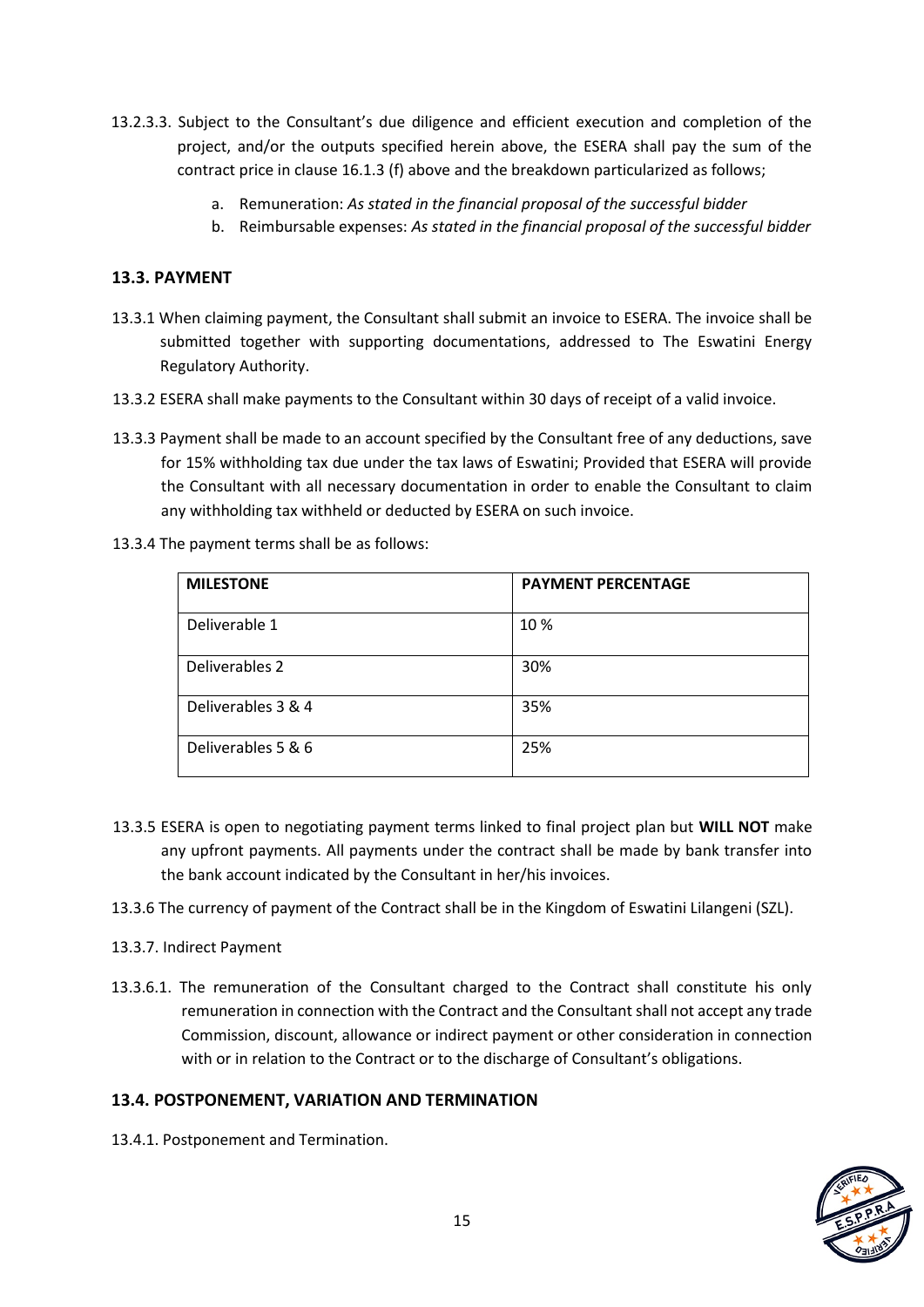- 13.2.3.3. Subject to the Consultant's due diligence and efficient execution and completion of the project, and/or the outputs specified herein above, the ESERA shall pay the sum of the contract price in clause 16.1.3 (f) above and the breakdown particularized as follows;
	- a. Remuneration: *As stated in the financial proposal of the successful bidder*
	- b. Reimbursable expenses: *As stated in the financial proposal of the successful bidder*

## **13.3. PAYMENT**

- 13.3.1 When claiming payment, the Consultant shall submit an invoice to ESERA. The invoice shall be submitted together with supporting documentations, addressed to The Eswatini Energy Regulatory Authority.
- 13.3.2 ESERA shall make payments to the Consultant within 30 days of receipt of a valid invoice.
- 13.3.3 Payment shall be made to an account specified by the Consultant free of any deductions, save for 15% withholding tax due under the tax laws of Eswatini; Provided that ESERA will provide the Consultant with all necessary documentation in order to enable the Consultant to claim any withholding tax withheld or deducted by ESERA on such invoice.
- 13.3.4 The payment terms shall be as follows:

| <b>MILESTONE</b>   | <b>PAYMENT PERCENTAGE</b> |
|--------------------|---------------------------|
| Deliverable 1      | 10 %                      |
| Deliverables 2     | 30%                       |
| Deliverables 3 & 4 | 35%                       |
| Deliverables 5 & 6 | 25%                       |

- 13.3.5 ESERA is open to negotiating payment terms linked to final project plan but **WILL NOT** make any upfront payments. All payments under the contract shall be made by bank transfer into the bank account indicated by the Consultant in her/his invoices.
- 13.3.6 The currency of payment of the Contract shall be in the Kingdom of Eswatini Lilangeni (SZL).
- 13.3.7. Indirect Payment
- 13.3.6.1. The remuneration of the Consultant charged to the Contract shall constitute his only remuneration in connection with the Contract and the Consultant shall not accept any trade Commission, discount, allowance or indirect payment or other consideration in connection with or in relation to the Contract or to the discharge of Consultant's obligations.

## **13.4. POSTPONEMENT, VARIATION AND TERMINATION**

13.4.1. Postponement and Termination.

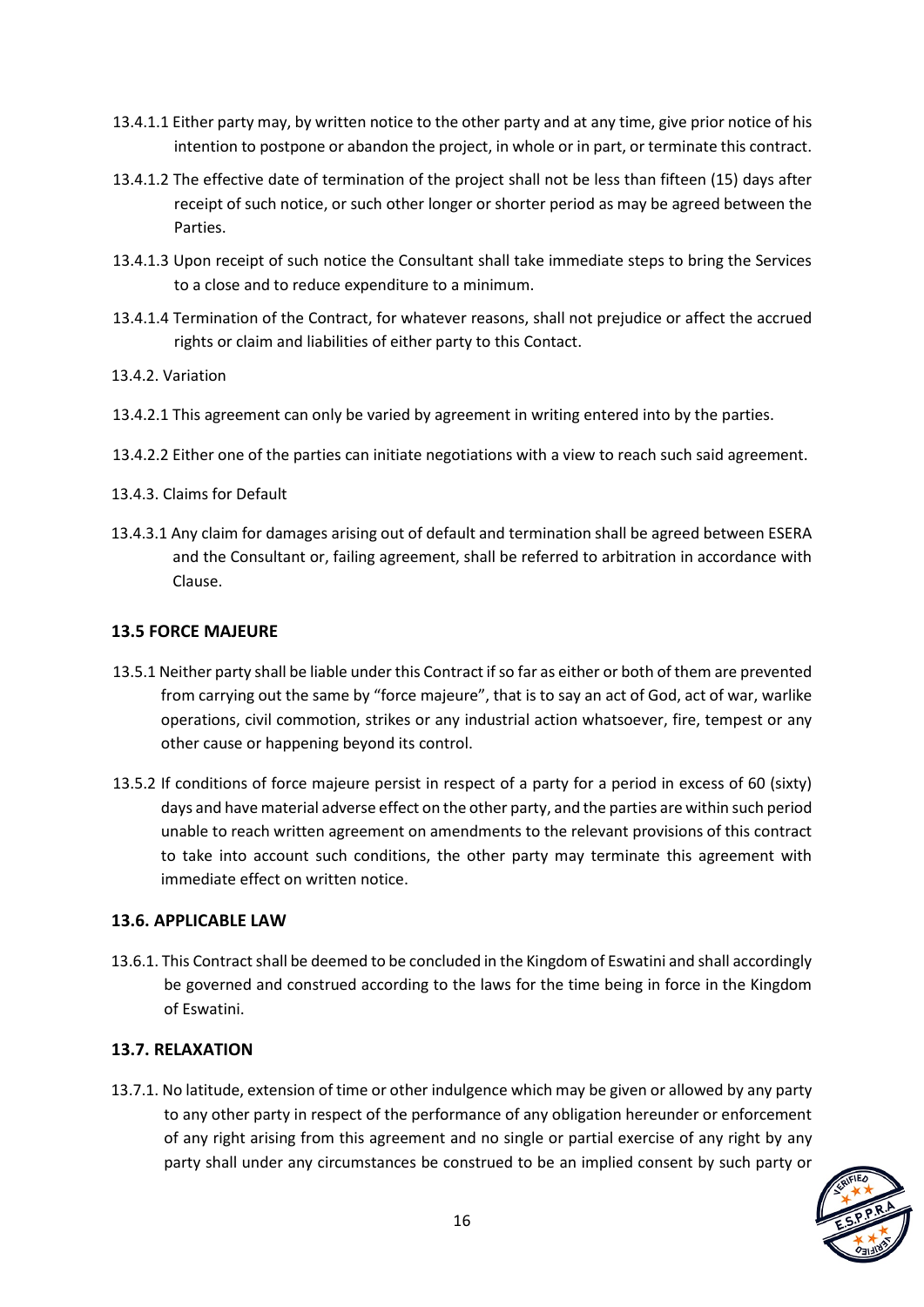- 13.4.1.1 Either party may, by written notice to the other party and at any time, give prior notice of his intention to postpone or abandon the project, in whole or in part, or terminate this contract.
- 13.4.1.2 The effective date of termination of the project shall not be less than fifteen (15) days after receipt of such notice, or such other longer or shorter period as may be agreed between the Parties.
- 13.4.1.3 Upon receipt of such notice the Consultant shall take immediate steps to bring the Services to a close and to reduce expenditure to a minimum.
- 13.4.1.4 Termination of the Contract, for whatever reasons, shall not prejudice or affect the accrued rights or claim and liabilities of either party to this Contact.
- 13.4.2. Variation
- 13.4.2.1 This agreement can only be varied by agreement in writing entered into by the parties.
- 13.4.2.2 Either one of the parties can initiate negotiations with a view to reach such said agreement.
- 13.4.3. Claims for Default
- 13.4.3.1 Any claim for damages arising out of default and termination shall be agreed between ESERA and the Consultant or, failing agreement, shall be referred to arbitration in accordance with Clause.

#### **13.5 FORCE MAJEURE**

- 13.5.1 Neither party shall be liable under this Contract if so far as either or both of them are prevented from carrying out the same by "force majeure", that is to say an act of God, act of war, warlike operations, civil commotion, strikes or any industrial action whatsoever, fire, tempest or any other cause or happening beyond its control.
- 13.5.2 If conditions of force majeure persist in respect of a party for a period in excess of 60 (sixty) days and have material adverse effect on the other party, and the parties are within such period unable to reach written agreement on amendments to the relevant provisions of this contract to take into account such conditions, the other party may terminate this agreement with immediate effect on written notice.

## **13.6. APPLICABLE LAW**

13.6.1. This Contract shall be deemed to be concluded in the Kingdom of Eswatini and shall accordingly be governed and construed according to the laws for the time being in force in the Kingdom of Eswatini.

## **13.7. RELAXATION**

13.7.1. No latitude, extension of time or other indulgence which may be given or allowed by any party to any other party in respect of the performance of any obligation hereunder or enforcement of any right arising from this agreement and no single or partial exercise of any right by any party shall under any circumstances be construed to be an implied consent by such party or

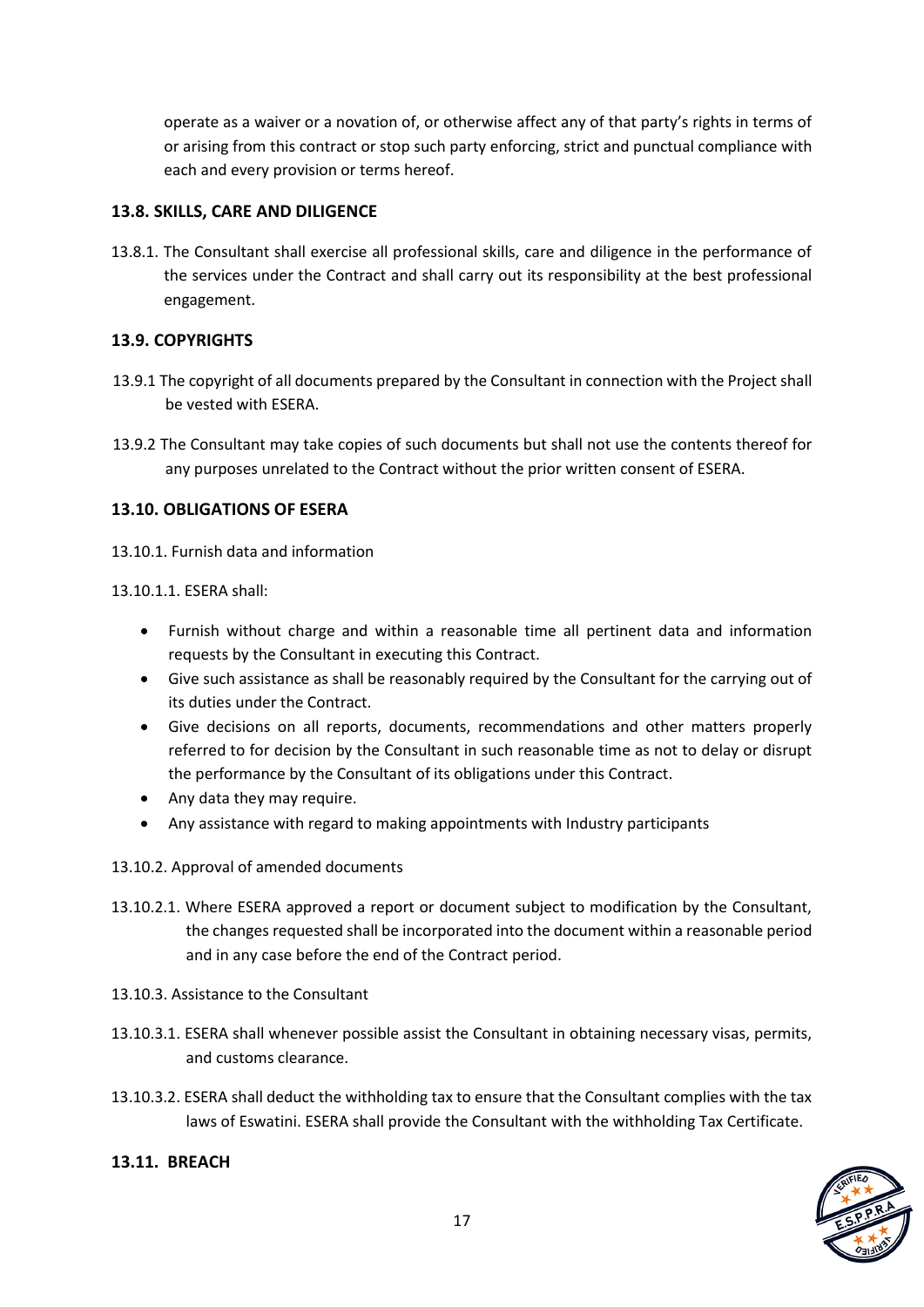operate as a waiver or a novation of, or otherwise affect any of that party's rights in terms of or arising from this contract or stop such party enforcing, strict and punctual compliance with each and every provision or terms hereof.

#### **13.8. SKILLS, CARE AND DILIGENCE**

13.8.1. The Consultant shall exercise all professional skills, care and diligence in the performance of the services under the Contract and shall carry out its responsibility at the best professional engagement.

## **13.9. COPYRIGHTS**

- 13.9.1 The copyright of all documents prepared by the Consultant in connection with the Project shall be vested with ESERA.
- 13.9.2 The Consultant may take copies of such documents but shall not use the contents thereof for any purposes unrelated to the Contract without the prior written consent of ESERA.

#### **13.10. OBLIGATIONS OF ESERA**

13.10.1. Furnish data and information

#### 13.10.1.1. ESERA shall:

- Furnish without charge and within a reasonable time all pertinent data and information requests by the Consultant in executing this Contract.
- Give such assistance as shall be reasonably required by the Consultant for the carrying out of its duties under the Contract.
- Give decisions on all reports, documents, recommendations and other matters properly referred to for decision by the Consultant in such reasonable time as not to delay or disrupt the performance by the Consultant of its obligations under this Contract.
- Any data they may require.
- Any assistance with regard to making appointments with Industry participants

#### 13.10.2. Approval of amended documents

- 13.10.2.1. Where ESERA approved a report or document subject to modification by the Consultant, the changes requested shall be incorporated into the document within a reasonable period and in any case before the end of the Contract period.
- 13.10.3. Assistance to the Consultant
- 13.10.3.1. ESERA shall whenever possible assist the Consultant in obtaining necessary visas, permits, and customs clearance.
- 13.10.3.2. ESERA shall deduct the withholding tax to ensure that the Consultant complies with the tax laws of Eswatini. ESERA shall provide the Consultant with the withholding Tax Certificate.



#### **13.11. BREACH**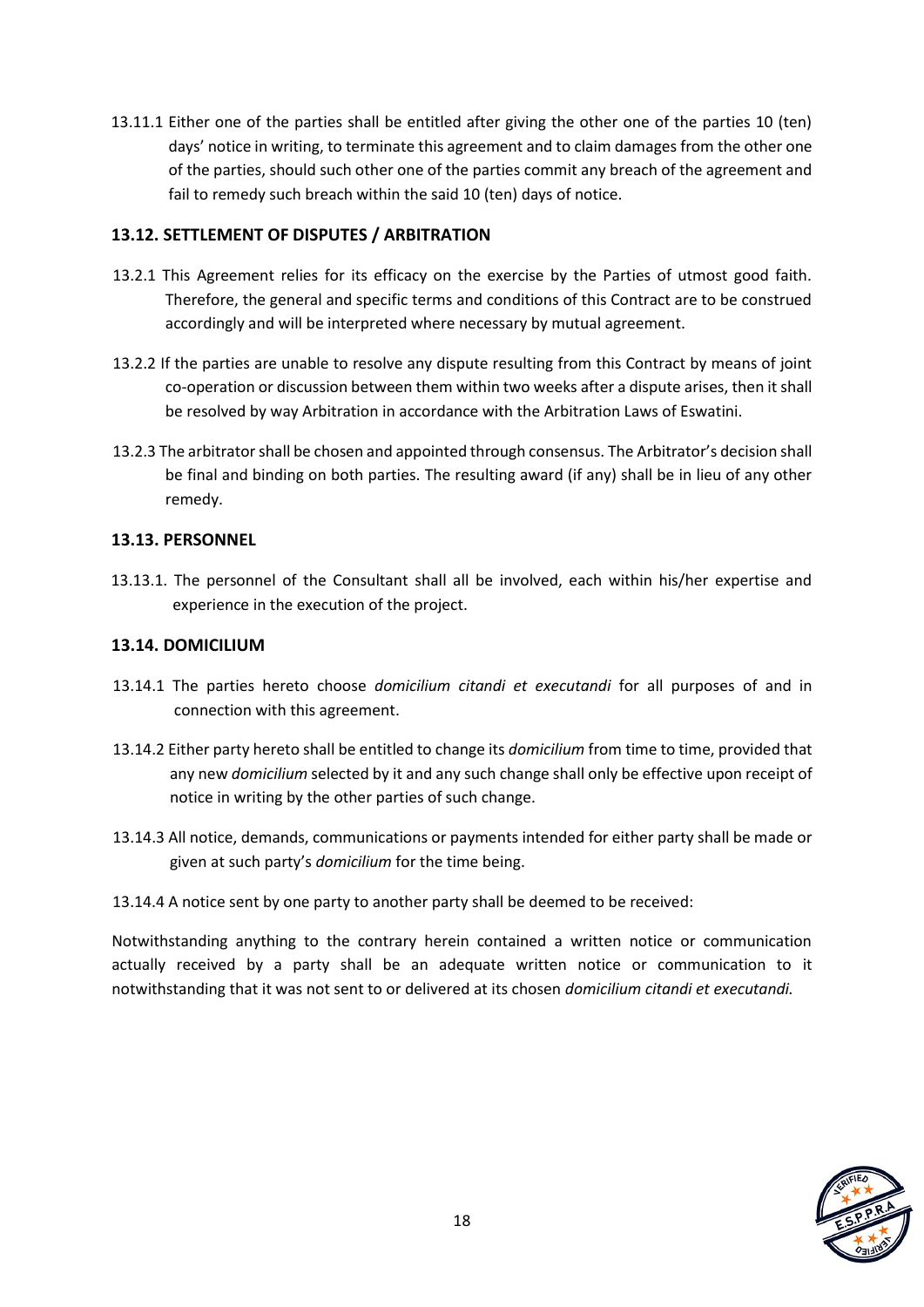13.11.1 Either one of the parties shall be entitled after giving the other one of the parties 10 (ten) days' notice in writing, to terminate this agreement and to claim damages from the other one of the parties, should such other one of the parties commit any breach of the agreement and fail to remedy such breach within the said 10 (ten) days of notice.

## **13.12. SETTLEMENT OF DISPUTES / ARBITRATION**

- 13.2.1 This Agreement relies for its efficacy on the exercise by the Parties of utmost good faith. Therefore, the general and specific terms and conditions of this Contract are to be construed accordingly and will be interpreted where necessary by mutual agreement.
- 13.2.2 If the parties are unable to resolve any dispute resulting from this Contract by means of joint co-operation or discussion between them within two weeks after a dispute arises, then it shall be resolved by way Arbitration in accordance with the Arbitration Laws of Eswatini.
- 13.2.3 The arbitrator shall be chosen and appointed through consensus. The Arbitrator's decision shall be final and binding on both parties. The resulting award (if any) shall be in lieu of any other remedy.

## **13.13. PERSONNEL**

13.13.1. The personnel of the Consultant shall all be involved, each within his/her expertise and experience in the execution of the project.

#### **13.14. DOMICILIUM**

- 13.14.1 The parties hereto choose *domicilium citandi et executandi* for all purposes of and in connection with this agreement.
- 13.14.2 Either party hereto shall be entitled to change its *domicilium* from time to time, provided that any new *domicilium* selected by it and any such change shall only be effective upon receipt of notice in writing by the other parties of such change.
- 13.14.3 All notice, demands, communications or payments intended for either party shall be made or given at such party's *domicilium* for the time being.
- 13.14.4 A notice sent by one party to another party shall be deemed to be received:

Notwithstanding anything to the contrary herein contained a written notice or communication actually received by a party shall be an adequate written notice or communication to it notwithstanding that it was not sent to or delivered at its chosen *domicilium citandi et executandi.*

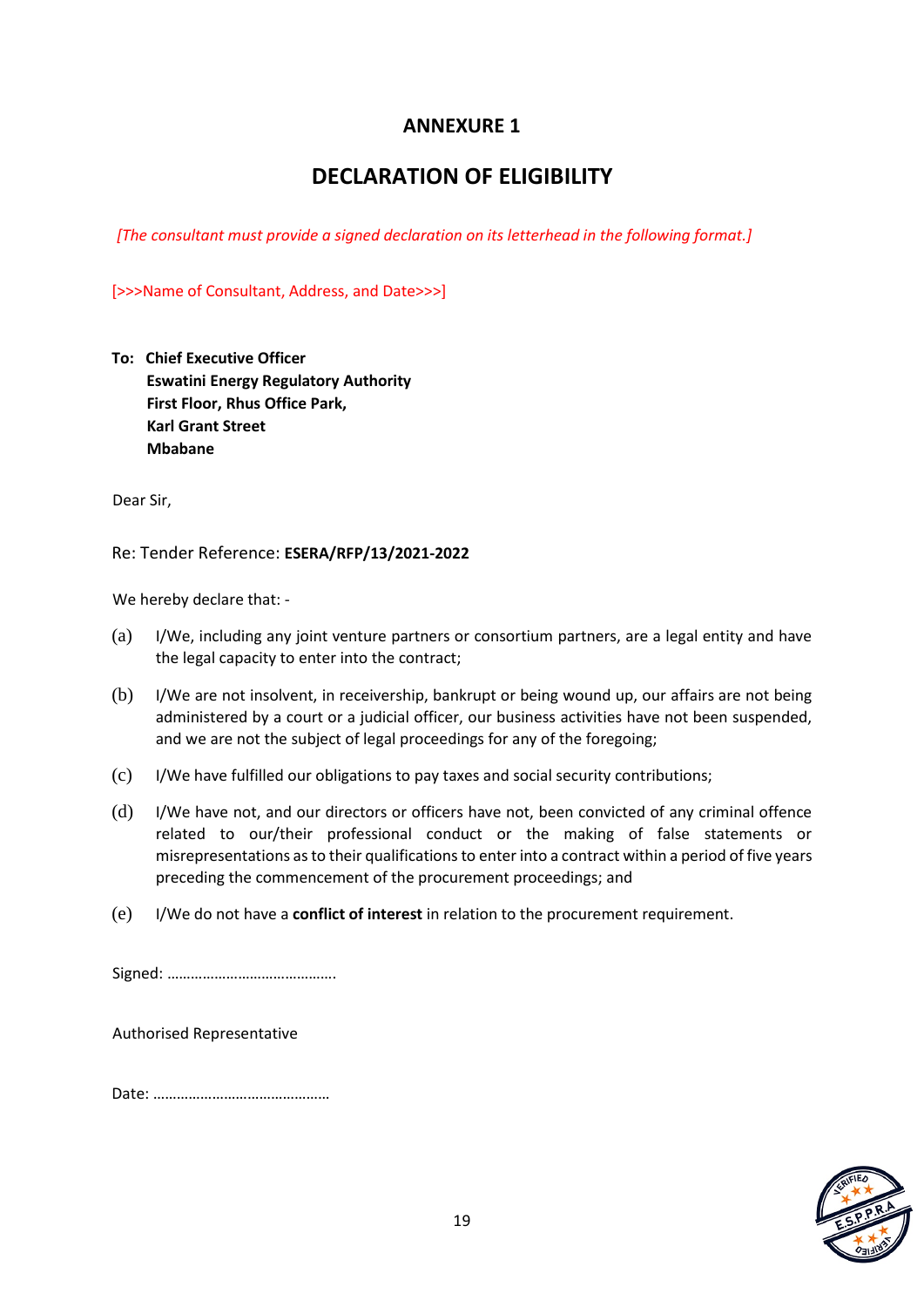## **ANNEXURE 1**

# **DECLARATION OF ELIGIBILITY**

*[The consultant must provide a signed declaration on its letterhead in the following format.]* 

[>>>Name of Consultant, Address, and Date>>>]

| To: Chief Executive Officer                 |  |
|---------------------------------------------|--|
| <b>Eswatini Energy Regulatory Authority</b> |  |
| First Floor, Rhus Office Park,              |  |
| <b>Karl Grant Street</b>                    |  |
| <b>Mbabane</b>                              |  |

Dear Sir,

Re: Tender Reference: **ESERA/RFP/13/2021-2022**

We hereby declare that: -

- (a) I/We, including any joint venture partners or consortium partners, are a legal entity and have the legal capacity to enter into the contract;
- (b) I/We are not insolvent, in receivership, bankrupt or being wound up, our affairs are not being administered by a court or a judicial officer, our business activities have not been suspended, and we are not the subject of legal proceedings for any of the foregoing;
- (c) I/We have fulfilled our obligations to pay taxes and social security contributions;
- (d) I/We have not, and our directors or officers have not, been convicted of any criminal offence related to our/their professional conduct or the making of false statements or misrepresentations as to their qualifications to enter into a contract within a period of five years preceding the commencement of the procurement proceedings; and
- (e) I/We do not have a **conflict of interest** in relation to the procurement requirement.

Signed: …………………………………….

Authorised Representative

Date: ………………………………………